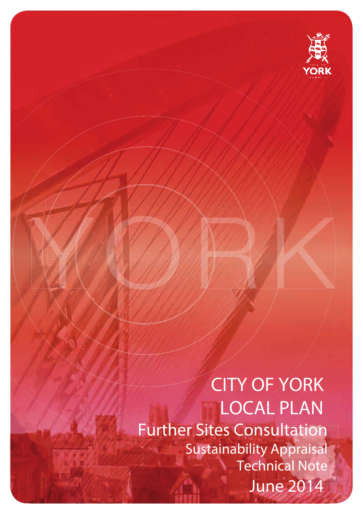

**CITY OF YORK LOCAL PLAN Further Sites Consultation Sustainability Appraisal Technical Note June 2014**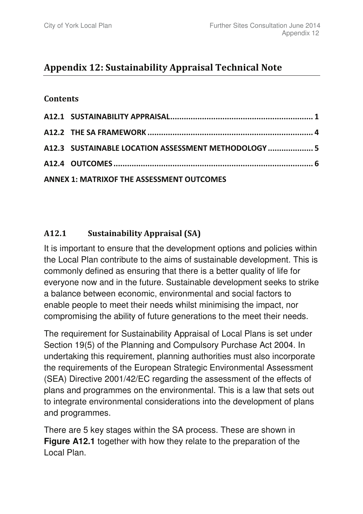# Appendix 12: Sustainability Appraisal Technical Note

## **Contents**

| A12.3 SUSTAINABLE LOCATION ASSESSMENT METHODOLOGY  5 |  |
|------------------------------------------------------|--|
|                                                      |  |
| <b>ANNEX 1: MATRIXOF THE ASSESSMENT OUTCOMES</b>     |  |

#### $A12.1$ .1 Sustainability Appraisal (SA)

It is important to ensure that the development options and policies within the Local Plan contribute to the aims of sustainable development. This is commonly defined as ensuring that there is a better quality of life for everyone now and in the future. Sustainable development seeks to strike a balance between economic, environmental and social factors to enable people to meet their needs whilst minimising the impact, nor compromising the ability of future generations to the meet their needs.

The requirement for Sustainability Appraisal of Local Plans is set under Section 19(5) of the Planning and Compulsory Purchase Act 2004. In undertaking this requirement, planning authorities must also incorporate the requirements of the European Strategic Environmental Assessment (SEA) Directive 2001/42/EC regarding the assessment of the effects of plans and programmes on the environmental. This is a law that sets out to integrate environmental considerations into the development of plans and programmes.

There are 5 key stages within the SA process. These are shown in **Figure A12.1** together with how they relate to the preparation of the Local Plan.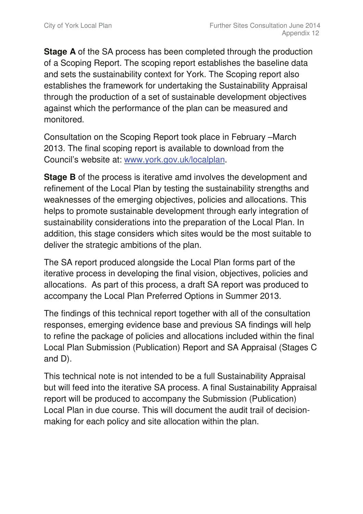**Stage A** of the SA process has been completed through the production of a Scoping Report. The scoping report establishes the baseline data and sets the sustainability context for York. The Scoping report also establishes the framework for undertaking the Sustainability Appraisal through the production of a set of sustainable development objectives against which the performance of the plan can be measured and monitored.

Consultation on the Scoping Report took place in February –March 2013. The final scoping report is available to download from the Council's website at: www.york.gov.uk/localplan.

**Stage B** of the process is iterative amd involves the development and refinement of the Local Plan by testing the sustainability strengths and weaknesses of the emerging objectives, policies and allocations. This helps to promote sustainable development through early integration of sustainability considerations into the preparation of the Local Plan. In addition, this stage considers which sites would be the most suitable to deliver the strategic ambitions of the plan.

The SA report produced alongside the Local Plan forms part of the iterative process in developing the final vision, objectives, policies and allocations. As part of this process, a draft SA report was produced to accompany the Local Plan Preferred Options in Summer 2013.

The findings of this technical report together with all of the consultation responses, emerging evidence base and previous SA findings will help to refine the package of policies and allocations included within the final Local Plan Submission (Publication) Report and SA Appraisal (Stages C and D).

This technical note is not intended to be a full Sustainability Appraisal but will feed into the iterative SA process. A final Sustainability Appraisal report will be produced to accompany the Submission (Publication) Local Plan in due course. This will document the audit trail of decisionmaking for each policy and site allocation within the plan.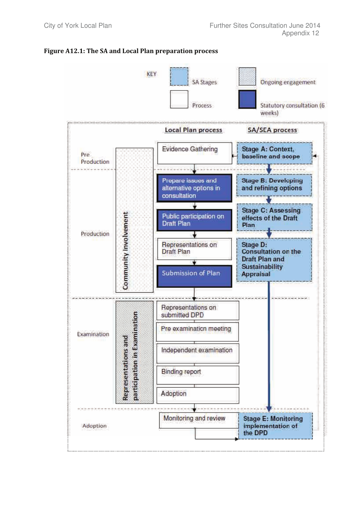

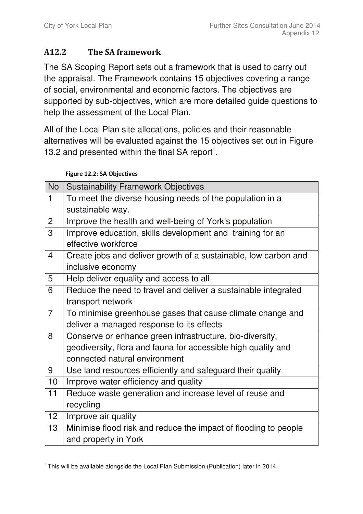#### A12.2 The SA framework

The SA Scoping Report sets out a framework that is used to carry out the appraisal. The Framework contains 15 objectives covering a range of social, environmental and economic factors. The objectives are supported by sub-objectives, which are more detailed guide questions to help the assessment of the Local Plan.

All of the Local Plan site allocations, policies and their reasonable alternatives will be evaluated against the 15 objectives set out in Figure 13.2 and presented within the final SA report<sup>1</sup>.

### Figure 12.2: SA Objectives

| <b>No</b>       | <b>Sustainability Framework Objectives</b>                      |
|-----------------|-----------------------------------------------------------------|
| 1               | To meet the diverse housing needs of the population in a        |
|                 | sustainable way.                                                |
| $\overline{2}$  | Improve the health and well-being of York's population          |
| 3               | Improve education, skills development and training for an       |
|                 | effective workforce                                             |
| 4               | Create jobs and deliver growth of a sustainable, low carbon and |
|                 | inclusive economy                                               |
| 5               | Help deliver equality and access to all                         |
| 6               | Reduce the need to travel and deliver a sustainable integrated  |
|                 | transport network                                               |
| $\overline{7}$  | To minimise greenhouse gases that cause climate change and      |
|                 | deliver a managed response to its effects                       |
| 8               | Conserve or enhance green infrastructure, bio-diversity,        |
|                 | geodiversity, flora and fauna for accessible high quality and   |
|                 | connected natural environment                                   |
| 9               | Use land resources efficiently and safeguard their quality      |
| 10              | Improve water efficiency and quality                            |
| 11              | Reduce waste generation and increase level of reuse and         |
|                 | recycling                                                       |
| 12 <sub>2</sub> | Improve air quality                                             |
| 13              | Minimise flood risk and reduce the impact of flooding to people |
|                 | and property in York                                            |

 <sup>1</sup> This will be available alongside the Local Plan Submission (Publication) later in 2014.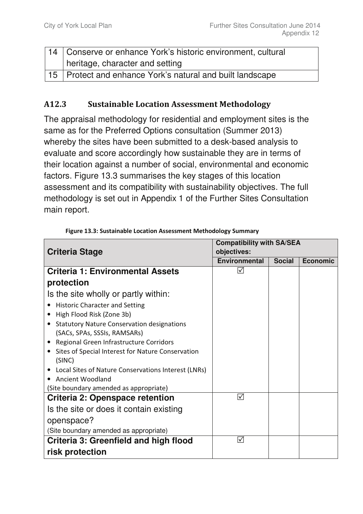| 14   Conserve or enhance York's historic environment, cultural |
|----------------------------------------------------------------|
| heritage, character and setting                                |
| 15   Protect and enhance York's natural and built landscape    |

#### A<sub>12.3</sub> **Sustainable Location Assessment Methodology**

The appraisal methodology for residential and employment sites is the same as for the Preferred Options consultation (Summer 2013) whereby the sites have been submitted to a desk-based analysis to evaluate and score accordingly how sustainable they are in terms of their location against a number of social, environmental and economic factors. Figure 13.3 summarises the key stages of this location assessment and its compatibility with sustainability objectives. The full methodology is set out in Appendix 1 of the Further Sites Consultation main report.

|                                                                | <b>Compatibility with SA/SEA</b> |               |                 |  |  |  |  |  |  |
|----------------------------------------------------------------|----------------------------------|---------------|-----------------|--|--|--|--|--|--|
| <b>Criteria Stage</b>                                          | objectives:                      |               |                 |  |  |  |  |  |  |
|                                                                | <b>Environmental</b>             | <b>Social</b> | <b>Economic</b> |  |  |  |  |  |  |
| <b>Criteria 1: Environmental Assets</b>                        | $ \mathcal{N} $                  |               |                 |  |  |  |  |  |  |
| protection                                                     |                                  |               |                 |  |  |  |  |  |  |
| Is the site wholly or partly within:                           |                                  |               |                 |  |  |  |  |  |  |
| <b>Historic Character and Setting</b>                          |                                  |               |                 |  |  |  |  |  |  |
| High Flood Risk (Zone 3b)<br>$\bullet$                         |                                  |               |                 |  |  |  |  |  |  |
| <b>Statutory Nature Conservation designations</b><br>$\bullet$ |                                  |               |                 |  |  |  |  |  |  |
| (SACs, SPAs, SSSIs, RAMSARs)                                   |                                  |               |                 |  |  |  |  |  |  |
| Regional Green Infrastructure Corridors<br>$\bullet$           |                                  |               |                 |  |  |  |  |  |  |
| Sites of Special Interest for Nature Conservation<br>$\bullet$ |                                  |               |                 |  |  |  |  |  |  |
| (SINC)                                                         |                                  |               |                 |  |  |  |  |  |  |
| Local Sites of Nature Conservations Interest (LNRs)            |                                  |               |                 |  |  |  |  |  |  |
| Ancient Woodland                                               |                                  |               |                 |  |  |  |  |  |  |
| (Site boundary amended as appropriate)                         |                                  |               |                 |  |  |  |  |  |  |
| <b>Criteria 2: Openspace retention</b>                         | ☑                                |               |                 |  |  |  |  |  |  |
| Is the site or does it contain existing                        |                                  |               |                 |  |  |  |  |  |  |
| openspace?                                                     |                                  |               |                 |  |  |  |  |  |  |
| (Site boundary amended as appropriate)                         |                                  |               |                 |  |  |  |  |  |  |
| Criteria 3: Greenfield and high flood                          | ☑                                |               |                 |  |  |  |  |  |  |
| risk protection                                                |                                  |               |                 |  |  |  |  |  |  |

Figure 13.3: Sustainable Location Assessment Methodology Summary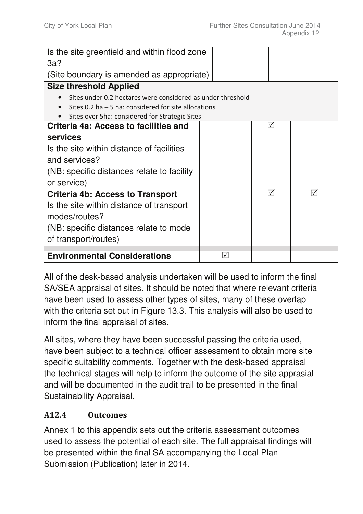| Is the site greenfield and within flood zone                |                      |                                |                 |
|-------------------------------------------------------------|----------------------|--------------------------------|-----------------|
| 3a?                                                         |                      |                                |                 |
| (Site boundary is amended as appropriate)                   |                      |                                |                 |
| <b>Size threshold Applied</b>                               |                      |                                |                 |
| Sites under 0.2 hectares were considered as under threshold |                      |                                |                 |
| Sites 0.2 ha $-5$ ha: considered for site allocations       |                      |                                |                 |
| Sites over 5ha: considered for Strategic Sites              |                      |                                |                 |
| Criteria 4a: Access to facilities and                       |                      | $\mathcal{V}$                  |                 |
| services                                                    |                      |                                |                 |
| Is the site within distance of facilities                   |                      |                                |                 |
| and services?                                               |                      |                                |                 |
| (NB: specific distances relate to facility                  |                      |                                |                 |
| or service)                                                 |                      |                                |                 |
| <b>Criteria 4b: Access to Transport</b>                     |                      | $\mathcal{\blacktriangledown}$ | $\triangledown$ |
| Is the site within distance of transport                    |                      |                                |                 |
| modes/routes?                                               |                      |                                |                 |
| (NB: specific distances relate to mode                      |                      |                                |                 |
| of transport/routes)                                        |                      |                                |                 |
| <b>Environmental Considerations</b>                         | $\blacktriangledown$ |                                |                 |
|                                                             |                      |                                |                 |

All of the desk-based analysis undertaken will be used to inform the final SA/SEA appraisal of sites. It should be noted that where relevant criteria have been used to assess other types of sites, many of these overlap with the criteria set out in Figure 13.3. This analysis will also be used to inform the final appraisal of sites.

All sites, where they have been successful passing the criteria used, have been subject to a technical officer assessment to obtain more site specific suitability comments. Together with the desk-based appraisal the technical stages will help to inform the outcome of the site apprasial and will be documented in the audit trail to be presented in the final Sustainability Appraisal.

#### A12.4 **Outcomes**

Annex 1 to this appendix sets out the criteria assessment outcomes used to assess the potential of each site. The full appraisal findings will be presented within the final SA accompanying the Local Plan Submission (Publication) later in 2014.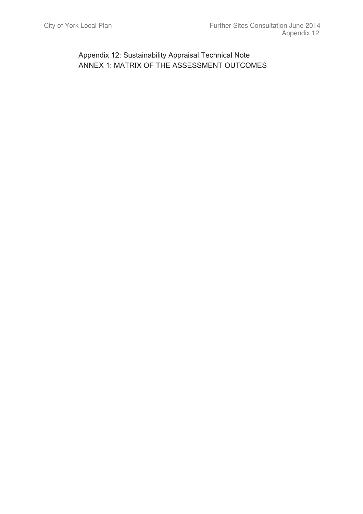Appendix 12: Sustainability Appraisal Technical Note ANNEX 1: MATRIX OF THE ASSESSMENT OUTCOMES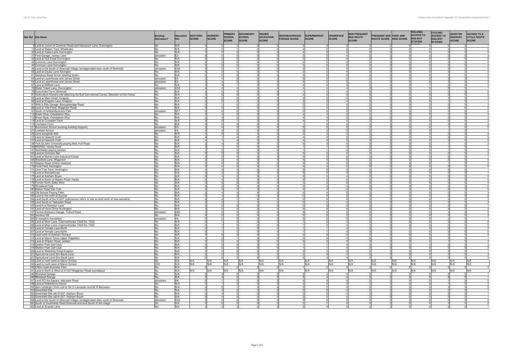| Site Ref Site Name                                                                                                               | <b>Existing</b><br>Allocation? | <b>Allocation</b><br>Ref         | <b>DOCTORS</b><br><b>SCORE</b> | <b>NURSERY</b><br><b>SCORE</b> | <b>PRIMARY</b><br><b>SCHOOL</b><br><b>SCORE</b> | <b>SECONDARY</b><br><b>SCHOOL</b><br><b>SCORE</b> | <b>HIGHER</b><br><b>EDUCATION</b><br><b>SCORE</b> | <b>NEIGHBOURHOOD</b><br><b>PARADE SCORE</b> | SUPERMARKET<br>SCORE       | OPENSPACE<br><b>SCORE</b>        | <b>NON FREQUENT</b><br><b>BUS ROUTE</b><br><b>SCORE</b> | <b>FREQUENT BUS PARK AND</b><br>ROUTE SCORE RIDE SCORE |               | <b>WALKING</b><br><b>ACCESS TO</b><br><b>RAILWAY</b><br><b>STATION</b> | <b>CYCLING</b><br><b>ACCESS TO</b><br><b>RAILWAY</b><br><b>STATION</b> | <b>ADOPTED</b><br><b>HIGHWAY</b><br><b>SCORE</b> | <b>ACCESS TO A</b><br><b>CYCLE ROUTE</b><br><b>SCORE</b> |
|----------------------------------------------------------------------------------------------------------------------------------|--------------------------------|----------------------------------|--------------------------------|--------------------------------|-------------------------------------------------|---------------------------------------------------|---------------------------------------------------|---------------------------------------------|----------------------------|----------------------------------|---------------------------------------------------------|--------------------------------------------------------|---------------|------------------------------------------------------------------------|------------------------------------------------------------------------|--------------------------------------------------|----------------------------------------------------------|
| 9 Land at corner of Common Road and Hassacarr Lane, Dunnington                                                                   | No                             | N/A                              |                                |                                |                                                 |                                                   |                                                   |                                             |                            |                                  |                                                         |                                                        |               |                                                                        |                                                                        |                                                  |                                                          |
| 13 Land at Station Yard, Wheldrake<br>30 Land at Intake Lane Dunnington                                                          | No<br>No                       | N/A<br>N/A                       |                                |                                |                                                 |                                                   |                                                   |                                             |                            |                                  |                                                         |                                                        |               |                                                                        |                                                                        |                                                  | $\Omega$                                                 |
| 37 Ford Garage, Jockey Lane                                                                                                      | allocation                     | E <sub>3</sub>                   |                                |                                | $\sim$                                          | nl                                                |                                                   |                                             |                            | $\mathbf{A}$                     |                                                         | $\sim$                                                 |               |                                                                        |                                                                        |                                                  |                                                          |
| 43 Land at Hull Road Dunnington                                                                                                  | No                             | N/A                              |                                |                                |                                                 |                                                   |                                                   |                                             |                            | $\overline{4}$                   |                                                         |                                                        |               |                                                                        |                                                                        |                                                  |                                                          |
| 44 Common Lane Dunnington                                                                                                        | No                             | N/A                              |                                |                                |                                                 |                                                   |                                                   |                                             |                            |                                  |                                                         |                                                        |               |                                                                        |                                                                        |                                                  |                                                          |
| 44 Common Lane Dunnington<br>46 Land to the South of Strensall Village (amalgamated sites south of Strensall)                    | No<br>allocation               | N/A<br>H30                       |                                |                                |                                                 |                                                   |                                                   |                                             |                            | $\mathfrak{p}$                   |                                                         |                                                        |               |                                                                        |                                                                        |                                                  |                                                          |
| 55 Land at Dauby Lane, Elvington                                                                                                 | No                             | N/A                              |                                |                                |                                                 |                                                   |                                                   |                                             |                            | $\overline{4}$                   |                                                         |                                                        |               |                                                                        |                                                                        |                                                  |                                                          |
| 61 Salisbury Road former bowling Green.                                                                                          | No                             | N/A                              |                                |                                |                                                 |                                                   |                                                   |                                             |                            | 5                                |                                                         |                                                        |               |                                                                        |                                                                        |                                                  |                                                          |
| 64 Land at Layerthorpe and James Street                                                                                          | allocation<br>allocation       | E <sub>4</sub><br>E <sub>4</sub> |                                |                                | $\Delta$                                        | nl                                                |                                                   |                                             |                            | $\overline{a}$                   |                                                         |                                                        |               |                                                                        |                                                                        |                                                  |                                                          |
| 64 Land at Layerthorpe and James Street<br>67 Land at Millfield Lane                                                             | No                             | N/A                              |                                |                                | ΔI                                              |                                                   |                                                   |                                             |                            | $\overline{4}$                   |                                                         |                                                        |               |                                                                        |                                                                        |                                                  |                                                          |
| 72 Water Tower Lane, Dunnington                                                                                                  | allocation                     | H <sub>33</sub>                  |                                |                                |                                                 |                                                   |                                                   |                                             | Δ                          | 4                                |                                                         |                                                        |               |                                                                        |                                                                        |                                                  |                                                          |
| 76 Duncombe Farm, Strensall                                                                                                      | No                             | N/A                              |                                |                                |                                                 |                                                   |                                                   |                                             |                            | $\overline{4}$                   |                                                         |                                                        |               |                                                                        |                                                                        |                                                  |                                                          |
| 81 Horticulture Nursery site adjoining the Bull Commercial Center, Stockton on the Forest<br>83 Land at Main Street, Knapton     | No<br>No                       | N/A<br>N/A                       |                                |                                |                                                 |                                                   |                                                   | $\overline{A}$                              | $\Delta$                   | $\overline{4}$                   |                                                         |                                                        |               |                                                                        |                                                                        |                                                  |                                                          |
| 84 Land at Knapton Lane, Knapton                                                                                                 | No                             | N/A                              |                                | $\Omega$                       |                                                 | വ                                                 |                                                   | 5                                           |                            | $\overline{4}$                   |                                                         |                                                        |               |                                                                        |                                                                        |                                                  |                                                          |
| 87 Wills & Ellis Garage, Boroughbridge Road                                                                                      | No                             | N/A                              |                                |                                |                                                 |                                                   |                                                   |                                             |                            | 4                                |                                                         |                                                        |               |                                                                        |                                                                        |                                                  |                                                          |
| 88 Land at Villa Pond, Wigginton Road                                                                                            | No                             | N/A<br>SF <sub>7</sub>           |                                | nl                             |                                                 |                                                   |                                                   | $\Omega$                                    |                            | $\mathcal{D}$<br>$\Omega$        |                                                         |                                                        |               |                                                                        |                                                                        |                                                  |                                                          |
| 97 South of Airfield Business Park<br>112 Brook Nook, Osbaldwick Way                                                             | allocation<br>No               | N/A                              |                                |                                |                                                 |                                                   |                                                   |                                             |                            |                                  |                                                         |                                                        |               |                                                                        |                                                                        |                                                  |                                                          |
| 112 Brook Nook, Osbaldwick Way                                                                                                   | No                             | N/A                              |                                |                                |                                                 |                                                   |                                                   |                                             | $\overline{4}$             |                                  |                                                         |                                                        |               |                                                                        |                                                                        |                                                  |                                                          |
| 114 Land at Crompton Farm                                                                                                        | No                             | N/A                              |                                |                                |                                                 |                                                   |                                                   | $\overline{A}$                              | $\Delta$                   | $\Delta$                         |                                                         |                                                        |               |                                                                        |                                                                        |                                                  |                                                          |
| 115 Crompton Farm                                                                                                                | No<br>allocation               | N/A<br>H <sub>3</sub>            |                                | $\overline{4}$                 |                                                 |                                                   |                                                   | 5                                           |                            | $\overline{4}$<br>5              |                                                         |                                                        |               |                                                                        |                                                                        |                                                  |                                                          |
| 121 Burnholme School (existing building footprint)<br>127 Lowfield School                                                        | allocation                     | H <sub>5</sub>                   |                                |                                |                                                 |                                                   |                                                   |                                             |                            |                                  |                                                         |                                                        |               |                                                                        |                                                                        |                                                  |                                                          |
| 129 Land alongside A64                                                                                                           | No                             | N/A                              |                                |                                | ΩI                                              |                                                   |                                                   |                                             |                            | $\mathbf{A}$                     |                                                         |                                                        |               |                                                                        |                                                                        |                                                  |                                                          |
| 137 Land at Heworth Croft                                                                                                        | No                             | N/A                              |                                |                                |                                                 |                                                   |                                                   |                                             |                            |                                  |                                                         |                                                        |               |                                                                        |                                                                        |                                                  |                                                          |
| 137 Land at Heworth Croft<br>138 York St John University playing field, Hull Road                                                | No<br>No                       | N/A<br>N/A                       |                                | 4                              |                                                 |                                                   |                                                   |                                             | $\lambda$                  | 4                                |                                                         |                                                        | $\Delta$      |                                                                        |                                                                        |                                                  |                                                          |
| 139 BIORAD, Haxby Road                                                                                                           | No                             | N/A                              |                                |                                |                                                 |                                                   |                                                   |                                             |                            | $\Delta$                         |                                                         |                                                        |               |                                                                        |                                                                        |                                                  |                                                          |
| 141 Northfields playing pitches                                                                                                  | No                             | N/A                              |                                |                                |                                                 |                                                   |                                                   |                                             |                            | $\overline{4}$                   |                                                         |                                                        |               |                                                                        |                                                                        |                                                  |                                                          |
| 160 Land at Grimston Bar                                                                                                         | No                             | N/A                              |                                | $\Omega$                       |                                                 | ി                                                 |                                                   | $\Omega$                                    |                            | $\Omega$                         |                                                         |                                                        |               |                                                                        |                                                                        |                                                  |                                                          |
| 161 Land at Murton Lane Industrial Estate<br>165 Westfield Lane, Wigginton                                                       | No<br>No                       | N/A<br>N/A                       |                                |                                |                                                 |                                                   |                                                   | $\Delta$                                    | $\Delta$                   |                                  |                                                         |                                                        |               |                                                                        |                                                                        |                                                  |                                                          |
| 167 Shipton Road (Clifton Hospital)                                                                                              | No                             | N/A                              |                                |                                |                                                 |                                                   |                                                   |                                             |                            |                                  |                                                         |                                                        |               |                                                                        |                                                                        |                                                  |                                                          |
| 170 Pond Field, Heslington                                                                                                       | No                             | N/A                              |                                |                                |                                                 | <b>41</b>                                         |                                                   |                                             | $\Delta$                   |                                  |                                                         |                                                        |               |                                                                        |                                                                        |                                                  |                                                          |
| 171 Lime Tree Farm, Heslington                                                                                                   | No                             | N/A                              |                                |                                |                                                 |                                                   |                                                   |                                             | $\Delta$                   | $\Delta$                         |                                                         |                                                        |               |                                                                        |                                                                        |                                                  |                                                          |
| 173 Land at Bishopthorpe<br>175 Land at Askham Bryan                                                                             | No<br>No                       | N/A<br>N/A                       |                                |                                | $\frac{4}{ }$                                   |                                                   |                                                   |                                             |                            | $\overline{4}$                   |                                                         |                                                        |               |                                                                        |                                                                        |                                                  |                                                          |
| 176 Land at South of Station Road, Haxby                                                                                         | No                             | N/A                              |                                | $\Delta$                       |                                                 |                                                   |                                                   | Δ                                           | $\Delta$                   | $\Delta$                         |                                                         |                                                        |               |                                                                        |                                                                        |                                                  |                                                          |
| 178 Former North Selby Mine                                                                                                      | No                             | N/A                              |                                |                                |                                                 |                                                   |                                                   |                                             |                            |                                  |                                                         |                                                        |               |                                                                        |                                                                        |                                                  |                                                          |
| 179 Whiteland Field<br>180 Malton Road Site York                                                                                 | No<br>No                       | N/A<br>N/A                       |                                |                                | ΩI<br>41                                        |                                                   |                                                   |                                             |                            | $\Delta$<br>$\overline{4}$       |                                                         |                                                        |               |                                                                        |                                                                        |                                                  |                                                          |
| 182 Old School Playing Field                                                                                                     | No                             | N/A                              |                                | Δ                              |                                                 | <b>41</b>                                         |                                                   |                                             | $\Delta$                   |                                  |                                                         |                                                        |               |                                                                        |                                                                        |                                                  |                                                          |
| 183 Land to the north of Escrick                                                                                                 | No                             | N/A                              |                                |                                |                                                 |                                                   |                                                   |                                             |                            |                                  |                                                         |                                                        |               |                                                                        |                                                                        |                                                  |                                                          |
| 184 Land South of the A1237 (submission refers to site as land north of new earswick)                                            | No                             | N/A                              |                                |                                | $\Delta$                                        | $\Delta$                                          |                                                   |                                             |                            | $\Delta$                         |                                                         |                                                        |               |                                                                        |                                                                        |                                                  |                                                          |
| 185 Land South of Tadcaster Road<br>187 Land N of Stockton Lane                                                                  | No<br>No                       | N/A<br>N/A                       |                                | 0                              |                                                 |                                                   |                                                   |                                             |                            | $\overline{4}$<br>$\overline{a}$ |                                                         |                                                        |               |                                                                        |                                                                        |                                                  |                                                          |
| 191 Land off Avon Drive Huntington                                                                                               | No                             | N/A                              |                                |                                |                                                 |                                                   |                                                   |                                             |                            |                                  |                                                         |                                                        |               |                                                                        |                                                                        |                                                  |                                                          |
| 197 Former Bristow's Garage, Fulford Road                                                                                        | allocation                     | H <sub>24</sub>                  |                                |                                |                                                 |                                                   |                                                   |                                             |                            |                                  |                                                         |                                                        |               |                                                                        |                                                                        |                                                  |                                                          |
| 200 Severus Hill                                                                                                                 | No                             | N/A<br>H <sub>4</sub>            |                                |                                |                                                 |                                                   |                                                   |                                             |                            |                                  |                                                         |                                                        |               |                                                                        |                                                                        |                                                  |                                                          |
| 202 St Joseph's monastery<br>206 Land at Moor Lane, Copmanthorpe. Field No. 7222                                                 | allocation<br>No               | N/A                              |                                |                                |                                                 |                                                   |                                                   |                                             |                            |                                  |                                                         |                                                        |               |                                                                        |                                                                        |                                                  |                                                          |
| 206 Land at Moor Lane, Copmanthorpe. Field No. 7222                                                                              | No                             | N/A                              |                                |                                |                                                 |                                                   |                                                   |                                             |                            | $\Delta$                         |                                                         |                                                        |               |                                                                        |                                                                        |                                                  |                                                          |
| 207 Land at Temple Lane North                                                                                                    | No                             | N/A                              |                                |                                |                                                 |                                                   |                                                   |                                             |                            | $\overline{4}$                   |                                                         |                                                        |               |                                                                        |                                                                        |                                                  |                                                          |
| 207 Land at Temple Lane North<br>210 Land north of Askham Richard                                                                | No<br>No                       | N/A<br>N/A                       |                                |                                |                                                 |                                                   |                                                   |                                             |                            | $\overline{a}$                   |                                                         |                                                        |               |                                                                        |                                                                        |                                                  |                                                          |
| 215 Land at Manor Close Upper Poppleton                                                                                          | No                             | N/A                              |                                |                                |                                                 |                                                   |                                                   |                                             | $\Lambda$                  | $\Lambda$                        |                                                         |                                                        |               |                                                                        |                                                                        |                                                  |                                                          |
| 216 Land at Shipton Road, skelton                                                                                                | No                             | N/A                              |                                |                                |                                                 |                                                   |                                                   |                                             |                            | $\overline{4}$                   |                                                         |                                                        |               |                                                                        |                                                                        |                                                  |                                                          |
| 219 Skelton Park Golf Club                                                                                                       | No                             | N/A                              |                                |                                |                                                 |                                                   |                                                   |                                             |                            | $\overline{4}$                   |                                                         |                                                        |               |                                                                        |                                                                        |                                                  |                                                          |
| 219 Skelton Park Golf Club<br>220 Land at Wetherby Road Knapton                                                                  | No<br>No                       | N/A<br>N/A                       |                                |                                |                                                 |                                                   |                                                   |                                             |                            | $\overline{4}$<br>$\overline{A}$ |                                                         |                                                        |               |                                                                        |                                                                        |                                                  |                                                          |
| 221 Agricultural Land Sim Baulk Lane                                                                                             | No                             | N/A                              |                                |                                |                                                 |                                                   |                                                   |                                             |                            | $\overline{4}$                   |                                                         |                                                        |               |                                                                        |                                                                        |                                                  |                                                          |
| 221 Agricultural Land Sim Baulk Lane                                                                                             | No                             | N/A                              |                                |                                |                                                 |                                                   |                                                   |                                             | $\Delta$                   | $\overline{4}$                   |                                                         |                                                        |               |                                                                        |                                                                        |                                                  |                                                          |
| 230 Land to north west of Manor School                                                                                           | No                             | N/A                              | N/A                            | N/A                            | N/A                                             | N/A                                               | N/A                                               | N/A                                         | N/A                        | N/A                              | N/A                                                     | N/A                                                    | N/A           | N/A                                                                    | N/A                                                                    | N/A                                              | N/A                                                      |
| 230 Land to north west of Manor School<br>240 Clifton Gate Business Park                                                         | OS <sub>1</sub><br>No          | N/A<br>N/A                       | N/A                            | N/A                            | N/A                                             | N/A                                               | N/A                                               | N/A                                         | N/A                        | N/A                              | N/A<br>4                                                | N/A                                                    | N/A           | N/A                                                                    | N/A                                                                    | N/A                                              | N/A                                                      |
| 241 Land to North & West of A1237/Wigginton Road roundabout                                                                      | No                             | N/A                              | N/A                            | N/A                            | N/A                                             | N/A                                               | N/A                                               | N/A                                         | N/A                        | N/A                              | N/A                                                     | N/A                                                    | N/A           | N/A                                                                    | N/A                                                                    | N/A                                              | N/A                                                      |
| 246 Whitehall Garage                                                                                                             | No                             | N/A                              |                                |                                |                                                 |                                                   |                                                   |                                             |                            |                                  |                                                         |                                                        |               |                                                                        |                                                                        |                                                  |                                                          |
| 246 Whitehall Grange                                                                                                             | No                             | N/A                              |                                |                                | иI                                              |                                                   |                                                   |                                             | $\overline{A}$             |                                  | 4I                                                      |                                                        |               |                                                                        |                                                                        |                                                  |                                                          |
| 247 Land RO the Square, tadcaster Road<br>248 Land at Wilberforce House                                                          | allocation<br>No               | H <sub>6</sub><br>N/A            |                                |                                |                                                 |                                                   |                                                   | Δ                                           | $\overline{4}$<br>$\Delta$ | $\overline{4}$<br>$\overline{a}$ |                                                         |                                                        | 4<br>$\Delta$ |                                                                        |                                                                        |                                                  |                                                          |
| 250 Gem Holdings (York) Ltd for Mr D Lancaster and Mr R Burniston                                                                | No                             | N/A                              |                                |                                |                                                 |                                                   |                                                   |                                             |                            | 4                                |                                                         |                                                        |               |                                                                        |                                                                        |                                                  |                                                          |
| 253 Greenfield Site                                                                                                              | No                             | N/A                              |                                |                                | $\overline{A}$                                  |                                                   |                                                   |                                             |                            | $\Delta$                         |                                                         |                                                        |               |                                                                        |                                                                        |                                                  |                                                          |
| 253 Greenfield Site adj A1237, Askham Bryan                                                                                      | No                             | N/A                              |                                | $\overline{4}$                 | ΔI                                              |                                                   |                                                   |                                             |                            | $\Delta$<br>$\overline{4}$       |                                                         |                                                        |               |                                                                        |                                                                        |                                                  |                                                          |
| 253 Greenfield Site adj A1237, Askham Bryan<br>258 Land to the South of Strensall Village (amalgamated sites south of Strensall) | No<br>allocation               | N/A<br>H30                       |                                |                                |                                                 |                                                   |                                                   |                                             |                            |                                  |                                                         |                                                        |               |                                                                        |                                                                        |                                                  |                                                          |
| 260 South of Southfields Road Strensall and land South of the village                                                            | No                             | N/A                              |                                |                                |                                                 |                                                   |                                                   |                                             |                            | $\Lambda$                        |                                                         |                                                        |               |                                                                        |                                                                        |                                                  |                                                          |
| 262 Land at Acaster Lane                                                                                                         | No                             | N/A                              |                                |                                |                                                 |                                                   |                                                   |                                             |                            |                                  | $\overline{4}$                                          |                                                        |               |                                                                        |                                                                        |                                                  |                                                          |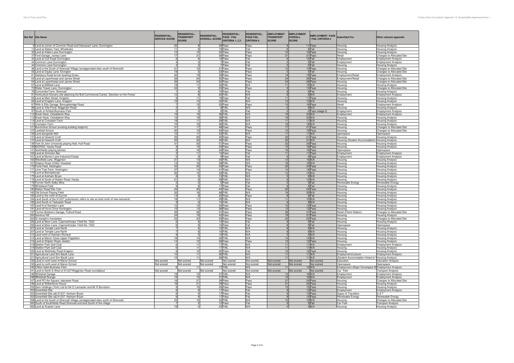| Site Ref Site Name                                                                        | <b>RESIDENTIAL:</b><br><b>SERVICE SCORE</b> | <b>RESIDENTIAL:</b><br><b>TRANSPORT</b><br><b>SCORE</b> | <b>RESIDENTIAL:</b><br><b>OVERALL SCORE</b> | <b>RESIDENTIAL:</b><br><b>PASS / FAIL</b><br>CRITERIA 1, 2.3 | <b>RESIDENTIAL:</b><br><b>PASS FAIL</b><br><b>CRITERIA 4</b> | <b>EMPLOYMENT</b><br><b>TRANSPORT</b><br><b>SCORE</b> | <b>EMPLOYMENT</b><br>OVERALL<br><b>SCORE</b> | <b>EMPLOYMENT: PASS</b><br><b>FAIL CRITERIA 4</b> | <b>Submitted For:</b>                              | Other relevant appendix                                 |
|-------------------------------------------------------------------------------------------|---------------------------------------------|---------------------------------------------------------|---------------------------------------------|--------------------------------------------------------------|--------------------------------------------------------------|-------------------------------------------------------|----------------------------------------------|---------------------------------------------------|----------------------------------------------------|---------------------------------------------------------|
| 9 Land at corner of Common Road and Hassacarr Lane, Dunnington                            |                                             |                                                         |                                             | 29 Pass                                                      | Pass                                                         |                                                       |                                              | 11 Pass                                           | lousina                                            | <b>Housing Analysis</b>                                 |
| 13 Land at Station Yard, Wheldrake                                                        | 11                                          | $\mathbf{R}$                                            | 10                                          | 19 Pass                                                      | Fail                                                         | $\mathbf{R}$<br>10                                    |                                              | 8 Fail                                            | lousing                                            | <b>Housing Analysis</b>                                 |
| 30 Land at Intake Lane Dunnington                                                         | 12                                          |                                                         |                                             | 22 Pass                                                      | Pass                                                         |                                                       |                                              | 10 Pass                                           | lousing                                            | <b>Housing Analysis</b>                                 |
| 37 Ford Garage, Jockey Lane<br>43 Land at Hull Road Dunnington                            | 17<br>$6\overline{6}$                       | 21                                                      |                                             | 38 Pass<br>14 Pass                                           | Pass<br>Fail                                                 | 21                                                    |                                              | 21 Pass<br>10 Fail                                | Retail<br><i>imployment</i>                        | Changes to Allocated Site<br><b>Employment Analysis</b> |
|                                                                                           | $\overline{4}$                              |                                                         | 3                                           | 7 Pass                                                       | Fail                                                         | $\mathbf{3}$                                          |                                              | 5 Fail                                            |                                                    |                                                         |
| 44 Common Lane Dunnington<br>44 Common Lane Dunnington                                    | $\overline{4}$                              |                                                         | 3                                           | 7 Pass                                                       | Fail                                                         | 3                                                     |                                              | 5 Fail                                            | <i><u><b>Imployment</b></u></i><br>lousing         | <b>Employment Analysis</b><br><b>Housing Analysis</b>   |
| 46 Land to the South of Strensall Village (amalgamated sites south of Strensall)          | 21                                          | 10                                                      |                                             | 31 Pass                                                      | Pass                                                         | 10                                                    |                                              | 10 Pass                                           | Housing                                            | Changes to Allocated Site                               |
| 55 Land at Dauby Lane, Elvington                                                          | 18                                          |                                                         |                                             | 23 Pass                                                      | Pass                                                         |                                                       |                                              | 5 Fail                                            | lousing                                            | Changes to Allocated Site                               |
| 61 Salisbury Road former bowling Green.                                                   | 20                                          | 19                                                      |                                             | 39 Pass                                                      | Pass                                                         | 19                                                    |                                              | 19 Pass                                           | Employment/Retail                                  | <b>Employment Analysis</b>                              |
| 64 Land at Layerthorpe and James Street                                                   | 28                                          | 24                                                      |                                             | 52 Pass                                                      | Pass                                                         | 24                                                    |                                              | 28 Pass                                           | mployment/Retail                                   | Changes to Allocated Site                               |
| 64 Land at Layerthorpe and James Street                                                   | 28                                          | 24                                                      |                                             | 52 Pass                                                      | Pass                                                         | 24                                                    |                                              | 28 Pass                                           | lousing                                            | Changes to Allocated Site                               |
| 67 Land at Millfield Lane                                                                 | 19                                          | 11                                                      |                                             | 30 FAIL                                                      | N/A                                                          | 11                                                    |                                              | $15$ N/A                                          | lousing                                            | <b>Housing Analysis</b>                                 |
| 72 Water Tower Lane, Dunnington                                                           | 24                                          | $\overline{9}$                                          |                                             | 33 Pass                                                      | Pass                                                         | 9                                                     |                                              | 13 Pass                                           | Housing                                            | <b>Changes to Allocated Site</b>                        |
| 76 Duncombe Farm, Strensall                                                               |                                             |                                                         | 8                                           | 15 Pass                                                      | Fail                                                         | 8                                                     |                                              | 8 Fail                                            | lousing                                            | <b>Housing Analysis</b>                                 |
| 81 Horticulture Nursery site adjoining the Bull Commercial Center, Stockton on the Forest | 12                                          | $\mathbf{R}$                                            |                                             | 20 FAIL                                                      | N/A                                                          | $\mathbf{R}$                                          |                                              | $R$ N/A                                           | Employment                                         | <b>Employment Analysis</b>                              |
| 83 Land at Main Street, Knapton                                                           |                                             | 11                                                      |                                             | 19 Pass                                                      | Fail                                                         | 11                                                    |                                              | 11 Pass                                           | lousing                                            | <b>Housing Analysis</b>                                 |
| 84 Land at Knapton Lane, Knapton                                                          | 19                                          | 13                                                      |                                             | 32 FAIL                                                      | N/A                                                          | 13                                                    |                                              | 13 N/A                                            | lousing                                            | <b>Housing Analysis</b>                                 |
| 87 Wills & Ellis Garage, Boroughbridge Road                                               |                                             | 15                                                      |                                             | 22 Pass                                                      | Pass                                                         | 15                                                    |                                              | 16 Pass                                           | <b>Retail</b>                                      | <b>Employment Analysis</b>                              |
| 88 Land at Villa Pond, Wigginton Road                                                     |                                             | 6                                                       |                                             | 8 FAIL                                                       | N/A                                                          | 6                                                     |                                              | 6 N/A                                             | lousing                                            | <b>Housing Analysis</b>                                 |
| 97 South of Airfield Business Park                                                        |                                             |                                                         |                                             | 0 FAIL                                                       | Fail                                                         | $\mathbf{0}$                                          |                                              | 0 Pass (stage 2)                                  | <i>mployment</i>                                   | <b>Employment Analysis</b>                              |
| 112 Brook Nook, Osbaldwick Way                                                            | 19                                          | 19                                                      |                                             | 38 FAIL                                                      | N/A                                                          | 19                                                    |                                              | 23 N/A                                            | mployment                                          | <b>Employment Analysis</b>                              |
| 112 Brook Nook, Osbaldwick Way                                                            | 19                                          |                                                         | 19                                          | 38 FAIL                                                      | N/A                                                          | 19                                                    |                                              | 23 N/A                                            | lousing                                            | <b>Housing Analysis</b>                                 |
| 114 Land at Crompton Farm                                                                 | 18                                          | 11                                                      |                                             | 29 FAIL                                                      | N/A                                                          | 11                                                    |                                              | $11$ N/A                                          | Housing                                            | <b>Housing Analysis</b>                                 |
| 115 Crompton Farm                                                                         | 10                                          | 16                                                      |                                             | 26 FAIL                                                      | N/A                                                          | 16                                                    |                                              | $16$ N/A                                          | lousing                                            | <b>Housing Analysis</b>                                 |
| 121 Burnholme School (existing building footprint)                                        | 31                                          | 17                                                      |                                             | 48 Pass                                                      | Pass                                                         | 17                                                    |                                              | 21 Pass                                           | lousing                                            | Changes to Allocated Site                               |
| 127 Lowfield School                                                                       | 30                                          |                                                         | 15                                          | 45 Pass                                                      | Pass                                                         | 15                                                    |                                              | 19 Pass                                           | Housing                                            | Changes to Allocated Site                               |
| 129 Land alongside A64                                                                    | 12                                          | 11                                                      |                                             | 23 FAIL                                                      | N/A                                                          | 11                                                    |                                              | $11$ N/A                                          | penspace                                           | Openspace                                               |
| 137 Land at Heworth Croft                                                                 | 25<br>25                                    | 20                                                      |                                             | 45 Pass                                                      | Pass                                                         | 20                                                    |                                              | 21 Pass                                           | lousing                                            | <b>Housing Analysis</b>                                 |
| 137 Land at Heworth Croft                                                                 |                                             | 20                                                      |                                             | 45 FAIL                                                      | N/A                                                          | 20                                                    |                                              | $21$ N/A                                          | Housing (Student Accomodation) Housing Analysis    |                                                         |
| 138 York St John University playing field, Hull Road                                      | 31                                          | 20                                                      |                                             | 51 Pass                                                      | Pass                                                         | 20                                                    |                                              | 24 Pass                                           | lousing                                            | <b>Housing Analysis</b>                                 |
| 139 BIORAD, Haxby Road                                                                    |                                             | 15<br>16                                                |                                             | 24 Pass<br>24 Pass                                           | Pass<br>Pass                                                 | 15<br>16                                              |                                              | 16 Pass<br>16 Pass                                | lousing<br>Openspace                               | <b>Housing Analysis</b><br>Openspace                    |
| 141 Northfields playing pitches<br>160 Land at Grimston Bar                               |                                             |                                                         | 11                                          | 14 Pass                                                      | Fail                                                         | 11                                                    |                                              | 11 Pass                                           |                                                    | <b>Employment Analysis</b>                              |
| 161 Land at Murton Lane Industrial Estate                                                 | $\Omega$                                    |                                                         | -9                                          | 9 Pass                                                       | Fail                                                         | 9                                                     |                                              | 9 Pass                                            | imployment                                         | <b>Employment Analysis</b>                              |
| 165 Westfield Lane, Wigginton                                                             | 21                                          | 13                                                      |                                             | 34 FAIL                                                      | N/A                                                          | 13                                                    |                                              | 15 N/A                                            | :mployment<br>lousinc                              | <b>Housing Analysis</b>                                 |
| 167 Shipton Road (Clifton Hospita                                                         | 13                                          | 16                                                      |                                             | 29 FAIL                                                      | N/A                                                          | 16                                                    |                                              | $16$ N/A                                          | lousing                                            | <b>Housing Analysis</b>                                 |
| 170 Pond Field, Heslington                                                                | 33                                          | 20                                                      |                                             | 53 Pass                                                      | Pass                                                         | 20                                                    |                                              | 24 Pass                                           | lousing                                            | <b>Housing Analysis</b>                                 |
| 171 Lime Tree Farm, Heslington                                                            | 27                                          | 14                                                      |                                             | 41 Pass                                                      | Pass                                                         | 14                                                    |                                              | 18 Pass                                           | lousing                                            | <b>Housing Analysis</b>                                 |
| 173 Land at Bishopthorpe                                                                  | 20                                          | 12                                                      |                                             | 32 FAIL                                                      | N/A                                                          | 12                                                    |                                              | 12 N/A                                            | lousing                                            | <b>Housing Analysis</b>                                 |
| 175 Land at Askham Bryan                                                                  | $\mathbf{R}$                                |                                                         |                                             | 13 FAIL                                                      | N/A                                                          | $5\overline{5}$                                       |                                              | 9 N/A                                             | lousing                                            | <b>Housing Analysis</b>                                 |
| 176 Land at South of Station Road, Haxby                                                  | 21                                          |                                                         |                                             | 29 FAIL                                                      | N/A                                                          |                                                       |                                              | 12 N/A                                            | lousing                                            | <b>Housing Analysis</b>                                 |
| 178 Former North Selby Mine                                                               | $\mathbf 0$                                 |                                                         | $\sqrt{2}$                                  | 5 Pass                                                       | Fail                                                         | $\sqrt{2}$                                            |                                              | 5 Fail                                            | Renewable Energy                                   | Renewable Energy                                        |
| 179 Whiteland Field                                                                       |                                             |                                                         |                                             | 17 Pass                                                      | Fail                                                         |                                                       |                                              | 8 Fail                                            | lousing                                            | <b>Housing Analysis</b>                                 |
| 180 Malton Road Site York                                                                 | 24                                          | 20                                                      |                                             | 44 Pass                                                      | Pass                                                         | 20                                                    |                                              | 24 Pass                                           | lousing                                            | <b>Housing Analysis</b>                                 |
| 182 Old School Playing Field                                                              | 32                                          |                                                         | 16                                          | 48 FAIL                                                      | N/A                                                          | 16                                                    |                                              | 20 N/A                                            | lousing                                            | <b>Housing Analysis</b>                                 |
| 183 Land to the north of Escrick                                                          | 14                                          |                                                         | 8                                           | 22 Pass                                                      | Pass                                                         | 8                                                     |                                              | 8 Fail                                            | Housing                                            | <b>Housing Analysis</b>                                 |
| 184 Land South of the A1237 (submission refers to site as land north of new earswick)     | 18                                          | 11                                                      |                                             | 29 FAIL<br>15 FAIL                                           | N/A                                                          | 11                                                    |                                              | 15 N/A                                            | lousing                                            | <b>Housing Analysis</b>                                 |
| 185 Land South of Tadcaster Road                                                          |                                             | - 6                                                     |                                             |                                                              | N/A                                                          | 6                                                     |                                              | 8 N/A                                             | lousing                                            | <b>Housing Analysis</b>                                 |
| 187 Land N of Stockton Lane                                                               | 12                                          | 12                                                      |                                             | 24 Pass                                                      | Pass                                                         | 12                                                    |                                              | 12 Pass                                           | Housina                                            | <b>Housing Analysis</b>                                 |
| 191 Land off Avon Drive Huntington                                                        | 15                                          | 13                                                      |                                             | 28 Pass                                                      | Pass                                                         | 13                                                    |                                              | 13 Pass                                           | Housing                                            | <b>Housing Analysis</b>                                 |
| 197 Former Bristow's Garage, Fulford Road                                                 | 25                                          | 26                                                      |                                             | 51 Pass                                                      | Pass                                                         | $\frac{26}{19}$                                       |                                              | 31 Pass                                           | Retail (Petrol Station)                            | Changes to Allocated Site                               |
| 200 Severus Hill                                                                          | 24                                          | 19                                                      |                                             | 43 Pass                                                      | Pass                                                         |                                                       |                                              | 21 Pass                                           | lousing                                            | <b>Housing Analysis</b>                                 |
| 202 St Joseph's monastery                                                                 | 23                                          | 22                                                      |                                             | 45 Pass                                                      | Pass                                                         | 22                                                    |                                              | 22 Pass                                           | Housing                                            | Changes to Allocated Site                               |
| 206 Land at Moor Lane, Copmanthorpe. Field No. 7222                                       | 6                                           | -8                                                      |                                             | 14 Pass                                                      | Fail                                                         | 8                                                     |                                              | 9 Fail                                            | Housing                                            | <b>Housing Analysis</b>                                 |
| 206 Land at Moor Lane, Copmanthorpe. Field No. 7222                                       |                                             |                                                         | $\mathbf{R}$                                | 14 Pass<br>15 FAIL                                           | Fail                                                         |                                                       |                                              | 9 Fail<br>$9$ N/A                                 | Openspace                                          | Openspace                                               |
| 207 Land at Temple Lane North                                                             |                                             |                                                         | 8                                           |                                                              | N/A<br>N/A                                                   | $\mathbf{g}$<br>8                                     |                                              | $9$ N/A                                           | Housing                                            | <b>Housing Analysis</b>                                 |
| 207 Land at Temple Lane North                                                             | $\mathbf{q}$                                |                                                         | 5                                           | 15 FAIL<br>14 FAIL                                           | N/A                                                          |                                                       |                                              | 5 N/A                                             | Housing                                            | <b>Housing Analysis</b>                                 |
| 210 Land north of Askham Richard                                                          |                                             |                                                         |                                             |                                                              |                                                              | 5<br>14                                               |                                              |                                                   | Housing                                            | <b>Housing Analysis</b>                                 |
| 215 Land at Manor Close Upper Poppleton<br>216 Land at Shipton Road, skelton              | 18<br>14                                    | 14<br>12                                                |                                             | 32 FAIL<br>26 Pass                                           | N/A<br>Pass                                                  | 12                                                    |                                              | 14 N/A<br>12 Pass                                 | lousing                                            | <b>Housing Analysis</b>                                 |
| 219 Skelton Park Golf Club                                                                | 6                                           | 11                                                      |                                             | 17 FAIL                                                      | N/A                                                          | 11                                                    |                                              | $11$ N/A                                          | Housing<br>Employment                              | <b>Housing Analysis</b><br><b>Employment Analysis</b>   |
| 219 Skelton Park Golf Club                                                                |                                             | 11                                                      |                                             | 17 FAIL                                                      | N/A                                                          | 11                                                    |                                              | 11 N/A                                            | lousing                                            | <b>Housing Analysis</b>                                 |
| 220 Land at Wetherby Road Knapton                                                         |                                             | 12                                                      |                                             | 20 Pass                                                      | Fail                                                         | 12                                                    |                                              | 12 Pass                                           | lousing                                            | <b>Housing Analysis</b>                                 |
| 221 Agricultural Land Sim Baulk Lane                                                      | 15                                          |                                                         | 11                                          | 26 FAIL                                                      | N/A                                                          | 11                                                    |                                              | $11$ N/A                                          | mployment/Leisure                                  | <b>Employment Analysis</b>                              |
| 221 Agricultural Land Sim Baulk Lane                                                      | 15                                          | 11                                                      |                                             | 26 FAIL                                                      | N/A                                                          | 11                                                    |                                              | $11$ N/A                                          | Student Accomodation linked to Housing Analysis    |                                                         |
| 230 Land to north west of Manor School                                                    | Not scored                                  | Not scored                                              | Not scored                                  | Not scored                                                   | Not scored                                                   | <b>Vot scored</b>                                     | Not scored                                   | Not scored                                        | ducation                                           | <b>Education Analysis</b>                               |
| 230 Land to north west of Manor School                                                    | <b>Vot scored</b>                           | Not scored                                              | Not scored                                  | Not scored                                                   | Not scored                                                   | Not scored                                            | Not scored                                   | Not scored                                        | Openspace                                          | Openspace                                               |
| 240 Clifton Gate Business Park                                                            |                                             | 11                                                      |                                             | 17 FAIL                                                      | N/A                                                          |                                                       |                                              | 12 N/A                                            | Employment (Major Developed Si Employment Analysis |                                                         |
| 241 Land to North & West of A1237/Wigginton Road roundabout                               | Not scored                                  | Not scored                                              | Not scored                                  | Not scored                                                   | Not scored                                                   | Not scored                                            | Not scored                                   | Not scored                                        | Car Park                                           | <b>Transport Analysis</b>                               |
| 246 Whitehall Garage                                                                      | 19                                          | 12                                                      |                                             | 31 FAIL                                                      | N/A                                                          |                                                       |                                              | 16 N/A                                            | mployment                                          | <b>Employment Analysis</b>                              |
| 246 Whitehall Grange                                                                      | 19                                          | 12                                                      |                                             | 31 FAIL                                                      | N/A                                                          | 12                                                    |                                              | 16 N/A                                            | mployment                                          | <b>Employment Analysis</b>                              |
| 247 Land RO the Square, tadcaster Road                                                    | 18                                          | 21                                                      |                                             | 39 Pass                                                      | Pass                                                         | 21                                                    |                                              | 24 Pass                                           | lousing                                            | Changes to Allocated Site                               |
| 248 Land at Wilberforce House                                                             | 18                                          | 21                                                      |                                             | 39 Pass                                                      | Pass                                                         | 21                                                    |                                              | 22 Pass                                           | lousing                                            | <b>Housing Analysis</b>                                 |
| 250 Gem Holdings (York) Ltd for Mr D Lancaster and Mr R Burniston                         |                                             | 15                                                      |                                             | 24 Pass                                                      | Pass                                                         | 15                                                    |                                              | 15 Pass                                           | lousing                                            | <b>Housing Analysis</b>                                 |
| 253 Greenfield Site                                                                       |                                             |                                                         |                                             | 17 Pass                                                      | Fail                                                         | $\mathbf{q}$                                          |                                              | 13 Pass                                           | <i>mployment</i>                                   | <b>Employment Analysis</b>                              |
| 253 Greenfield Site adj A1237, Askham Bryan                                               |                                             |                                                         | $\mathbf{q}$                                | 17 Pass                                                      | Fail                                                         | $\mathbf{g}$                                          |                                              | 13 Pass                                           | Sypsy & Travellers                                 | G & T                                                   |
| 253 Greenfield Site adj A1237, Askham Bryan                                               |                                             |                                                         |                                             | 17 Pass                                                      | Fail                                                         | 9                                                     |                                              | 13 Pass                                           | lenewable Energy                                   | Renewable Energy                                        |
| 258 Land to the South of Strensall Village (amalgamated sites south of Strensall)         | 23                                          | 10                                                      |                                             | 33 FAIL                                                      | N/A                                                          | 10                                                    |                                              | 10 N/A                                            | lousinc                                            | Changes to Allocated Site                               |
| 260 South of Southfields Road Strensall and land South of the village                     |                                             |                                                         |                                             | 12 Pass                                                      | Fail                                                         | $\sqrt{2}$                                            |                                              | 5 Fail                                            | Car Park                                           | <b>Transport Analysis</b>                               |
| 262 Land at Acaster Lane                                                                  | 19                                          |                                                         | $\Delta$                                    | 23 FAIL                                                      | N/A                                                          | $\Delta$                                              |                                              | 4 N/A                                             | Housina                                            | <b>Housing Analysis</b>                                 |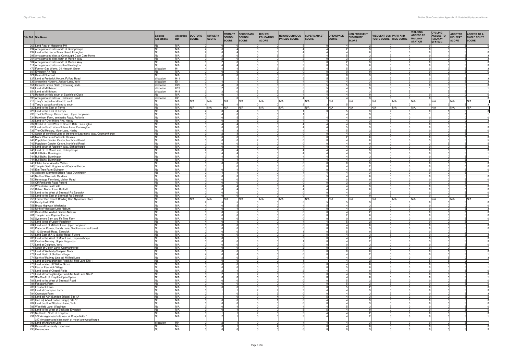|     | Site Ref Site Name                                                                                 | <b>Existing</b><br>Allocation? | <b>Allocation</b><br>Ref           | <b>DOCTORS</b><br><b>SCORE</b> | <b>NURSERY</b><br>SCORE | PRIMARY<br>SCHOOL<br>SCORE | <b>SECONDARY</b><br><b>SCHOOL</b><br><b>SCORE</b> | <b>HIGHER</b><br><b>EDUCATION</b><br><b>SCORE</b> | NEIGHBOURHOOD<br><b>PARADE SCORE</b> | SUPERMARKET<br>SCORE | <b>OPENSPACE</b><br>SCORE        | <b>NON FREQUENT</b><br><b>BUS ROUTE</b><br><b>SCORE</b> | <b>FREQUENT BUS PARK AND<br/>ROUTE SCORE RIDE SCORE</b> |          | <b>WALKING</b><br><b>ACCESS TO</b><br><b>RAILWAY</b><br><b>STATION</b> | <b>CYCLING</b><br><b>ACCESS TO</b><br><b>RAILWAY</b><br><b>STATION</b> | <b>ADOPTED</b><br><b>HIGHWAY</b><br><b>SCORE</b> | <b>ACCESS TO A</b><br><b>CYCLE ROUTE</b><br><b>SCORE</b> |
|-----|----------------------------------------------------------------------------------------------------|--------------------------------|------------------------------------|--------------------------------|-------------------------|----------------------------|---------------------------------------------------|---------------------------------------------------|--------------------------------------|----------------------|----------------------------------|---------------------------------------------------------|---------------------------------------------------------|----------|------------------------------------------------------------------------|------------------------------------------------------------------------|--------------------------------------------------|----------------------------------------------------------|
|     | 263 Land Rear of Hopgrove PH                                                                       | No                             | N/A                                |                                |                         |                            |                                                   |                                                   |                                      | $\Lambda$            | 4                                |                                                         |                                                         |          |                                                                        |                                                                        |                                                  |                                                          |
|     | 294 Amalgamated sites north of Bishopthorpe<br>297 Land to the rear of Main Street, Elvington      | No<br>No                       | N/A<br>N/A                         |                                |                         |                            |                                                   |                                                   |                                      | $\Lambda$            |                                  |                                                         |                                                         |          |                                                                        |                                                                        |                                                  |                                                          |
|     | 298 Amalgamated sites at Connaught Court Care Home                                                 | No                             | N/A                                |                                |                         |                            |                                                   |                                                   |                                      |                      |                                  |                                                         |                                                         |          |                                                                        |                                                                        |                                                  |                                                          |
|     | 304 Amalgamated sites north of Murton Way                                                          | No                             | N/A                                |                                |                         |                            |                                                   |                                                   |                                      |                      |                                  |                                                         |                                                         |          |                                                                        |                                                                        |                                                  |                                                          |
|     | 304 Amalgamated sites north of Murton Way                                                          | <b>No</b>                      | N/A                                |                                | $\overline{A}$          |                            | nl                                                |                                                   |                                      |                      |                                  |                                                         |                                                         |          |                                                                        |                                                                        |                                                  |                                                          |
|     | 311 Amalgamated sites south of Heslington<br>472 Former Gas Works, 24 Heworth Green                | No<br>allocation               | N/A<br>H <sub>1</sub>              |                                |                         |                            |                                                   |                                                   |                                      |                      | 5                                |                                                         |                                                         |          |                                                                        |                                                                        |                                                  |                                                          |
|     | 607 Elvington Air Field                                                                            | No                             | N/A                                |                                |                         |                            |                                                   |                                                   |                                      |                      |                                  |                                                         |                                                         |          |                                                                        |                                                                        |                                                  |                                                          |
|     | 621 Rear of Bluecoat                                                                               | No                             | N/A                                |                                |                         |                            |                                                   |                                                   |                                      |                      |                                  |                                                         |                                                         |          |                                                                        |                                                                        |                                                  |                                                          |
|     | 627 Land at Frederick House, Fulford Road                                                          | allocation                     | H11                                |                                |                         |                            |                                                   |                                                   |                                      |                      |                                  |                                                         |                                                         |          |                                                                        |                                                                        |                                                  |                                                          |
|     | 639 Annamine Nursery, Jockey Lane, York                                                            | allocation                     | E11                                |                                |                         |                            |                                                   |                                                   |                                      |                      | $\overline{4}$                   |                                                         |                                                         |          |                                                                        |                                                                        |                                                  |                                                          |
|     | 651 Heworth Green North (remaining land) -<br>654 Land at Mill Mount                               | allocation<br>allocation       | H <sub>25</sub><br>H <sub>19</sub> |                                |                         |                            |                                                   |                                                   |                                      |                      | $\Delta$                         |                                                         |                                                         |          |                                                                        |                                                                        |                                                  |                                                          |
|     | 654 Land at Mill Mount                                                                             | allocation                     | H <sub>19</sub>                    |                                |                         |                            |                                                   |                                                   |                                      |                      | $\overline{4}$                   |                                                         |                                                         |          |                                                                        |                                                                        |                                                  |                                                          |
|     | 676 Rufforth Airfield south of Southfield Close                                                    | No                             | N/A                                |                                |                         |                            |                                                   |                                                   |                                      |                      |                                  |                                                         |                                                         |          |                                                                        |                                                                        |                                                  |                                                          |
|     | 696 Amalgamated sites of Tadcaster Road                                                            | allocation                     | H <sub>2</sub>                     |                                |                         |                            |                                                   |                                                   | $\Delta$                             |                      | 4I                               |                                                         |                                                         |          |                                                                        |                                                                        |                                                  |                                                          |
|     | 719 Terry's carpark and land to south<br>719 Terry's carpark and land to south                     | No<br>No                       | N/A<br>N/A                         | N/A                            | N/A                     | N/A                        | N/A                                               | N/A                                               | N/A                                  | N/A                  | N/A                              | N/A                                                     | N/A                                                     | N/A      | N/A                                                                    | N/A                                                                    | N/A                                              | N/A                                                      |
|     | 720 Land to the East of Terrys                                                                     | No                             | N/A                                | N/A                            | N/A                     | N/A                        | N/A                                               | N/A                                               | N/A                                  | N/A                  | N/A                              | N/A                                                     | N/A                                                     | N/A      | N/A                                                                    | N/A                                                                    | N/A                                              | N/A                                                      |
|     | 720 Land to the East of Terry's                                                                    | No                             | N/A                                |                                |                         |                            |                                                   |                                                   |                                      |                      |                                  |                                                         |                                                         |          |                                                                        |                                                                        |                                                  |                                                          |
|     | 733 The Old Vinery, Cinder Lane, Upper Poppleton                                                   | No                             | N/A                                |                                | $\Delta$                |                            |                                                   |                                                   |                                      |                      | 4                                |                                                         |                                                         |          |                                                                        |                                                                        |                                                  |                                                          |
|     | 734 Hawthorn Farm, Wetherby Road, Rufforth                                                         | No                             | N/A                                |                                |                         |                            |                                                   |                                                   |                                      | $\Delta$             | 4                                |                                                         |                                                         |          |                                                                        |                                                                        |                                                  |                                                          |
|     | 736 Land to RO of Hilbra Ave, Haxby<br>737 Stock Hill Field, West of Church Balk, Dunnington       | No<br>No                       | N/A<br>N/A                         |                                | 41                      |                            |                                                   |                                                   |                                      |                      | $\overline{4}$<br>$\overline{4}$ |                                                         |                                                         |          |                                                                        |                                                                        |                                                  |                                                          |
|     | 738 Land on South side of Intake Lane, Dunnington                                                  | No                             | N/A                                |                                |                         |                            |                                                   |                                                   |                                      | Δ                    |                                  |                                                         |                                                         |          |                                                                        |                                                                        |                                                  |                                                          |
|     | 739 The Old Rectory, Moor Lane, Haxby                                                              | No                             | N/A                                |                                | 4                       |                            |                                                   |                                                   | $\overline{A}$                       | $\Delta$             |                                  |                                                         |                                                         |          |                                                                        |                                                                        |                                                  |                                                          |
|     | 740 South of Yorkfield Lane at the end of Learmans Way, Copmanthorpe                               | No                             | N/A                                |                                |                         |                            |                                                   |                                                   |                                      |                      | $\overline{4}$                   |                                                         |                                                         |          |                                                                        |                                                                        |                                                  |                                                          |
|     | 741 Moor Villa Farm Paddock, Hessay                                                                | No                             | N/A<br>N/A                         |                                |                         |                            |                                                   |                                                   |                                      |                      | 4                                |                                                         |                                                         |          |                                                                        |                                                                        |                                                  |                                                          |
|     | 742 Poppleton Garden Centre, Northfield Road<br>742 Poppleton Garden Centre, Northfield Road       | <b>No</b><br>No                | N/A                                |                                |                         |                            |                                                   |                                                   |                                      |                      | 4                                |                                                         |                                                         |          |                                                                        |                                                                        |                                                  |                                                          |
|     | 743 Land south of Appleton Way, Bishopthorpe                                                       | No                             | N/A                                |                                |                         |                            |                                                   |                                                   |                                      |                      |                                  |                                                         |                                                         |          |                                                                        |                                                                        |                                                  |                                                          |
|     | 743 Land SE of Moor Lane, Bishopthorpe                                                             | No                             | N/A                                |                                |                         |                            |                                                   |                                                   | 4                                    |                      | $\overline{4}$                   |                                                         |                                                         |          |                                                                        |                                                                        |                                                  |                                                          |
|     | 744 Bull Balks, Dunnington                                                                         | <b>No</b>                      | N/A                                |                                |                         |                            |                                                   |                                                   |                                      | $\Delta$             | $\overline{a}$                   |                                                         | $\sqrt{2}$                                              |          |                                                                        |                                                                        |                                                  |                                                          |
|     | 744 Bull Balks, Dunnington<br>744 Bull Balks, Dunnington                                           | No<br>No                       | N/A<br>N/A                         |                                | $\overline{4}$<br>4     |                            | $\Omega$                                          |                                                   | $\overline{4}$                       | $\overline{4}$       | $\overline{a}$<br>$\overline{4}$ |                                                         |                                                         |          |                                                                        |                                                                        |                                                  |                                                          |
|     | 745 Intake Lane, Acaster Malbis                                                                    | <b>No</b>                      | N/A                                |                                |                         |                            |                                                   |                                                   |                                      |                      |                                  |                                                         |                                                         |          |                                                                        |                                                                        |                                                  |                                                          |
|     | 746 Temple Garth Hughes land Copmanthorpe                                                          | No                             | N/A                                |                                |                         |                            |                                                   |                                                   |                                      |                      | 4                                |                                                         |                                                         |          |                                                                        |                                                                        |                                                  |                                                          |
|     | 747 Elm Tree Farm Elvington                                                                        | No                             | N/A                                |                                | $\overline{0}$          |                            | $\Omega$                                          |                                                   |                                      |                      | $\overline{a}$                   |                                                         | 0                                                       |          |                                                                        |                                                                        |                                                  |                                                          |
|     | 748 Adjacent Stamford Bridge Road Dunnington                                                       | No                             | N/A                                |                                |                         |                            |                                                   |                                                   |                                      |                      | $\Delta$                         |                                                         |                                                         |          |                                                                        |                                                                        |                                                  |                                                          |
|     | 749 North of Riverside Gardens<br>750 Hermitage Farmland, Malton Road                              | No<br><b>No</b>                | N/A<br>N/A                         |                                |                         |                            |                                                   |                                                   |                                      |                      | $\overline{4}$                   |                                                         |                                                         |          |                                                                        |                                                                        |                                                  |                                                          |
|     | 751 Off Fordlands Road Fulford                                                                     | No                             | N/A                                |                                | nl                      |                            | $\Omega$                                          |                                                   | $\Omega$                             | n                    | $\mathcal{P}$                    |                                                         | з                                                       |          |                                                                        |                                                                        |                                                  |                                                          |
|     | 752 Wheldrake East Field                                                                           | No                             | N/A                                |                                |                         |                            |                                                   |                                                   | $\overline{4}$                       | $\Delta$             | 4                                |                                                         | $\mathbf 0$                                             |          |                                                                        |                                                                        |                                                  |                                                          |
|     | 753 Behind Manor Farm Rufforth                                                                     | No                             | N/A                                |                                |                         |                            |                                                   |                                                   |                                      |                      |                                  |                                                         |                                                         |          |                                                                        |                                                                        |                                                  |                                                          |
|     | 754 Land to the West of Strensall Rd Earswick                                                      | No                             | N/A                                |                                |                         |                            |                                                   |                                                   |                                      |                      | $\overline{4}$<br>$\overline{4}$ |                                                         |                                                         |          |                                                                        |                                                                        |                                                  | $\Omega$                                                 |
|     | 755 Land to the East of Strensall Rd Earswick<br>756 Former Burt Keech Bowling Club Sycamore Place | No<br>No                       | N/A<br>N/A                         | N/A                            | N/A                     | N/A                        | $\Omega$<br>N/A                                   | N/A                                               | $\Omega$<br>N/A                      | N/A                  | N/A                              | N/A                                                     | 5<br>N/A                                                | 0<br>N/A | N/A                                                                    | N/A                                                                    | N/A                                              | N/A                                                      |
|     | 757 Haxby Hall EPH                                                                                 | No                             | N/A                                |                                |                         |                            |                                                   |                                                   |                                      |                      |                                  |                                                         |                                                         |          |                                                                        |                                                                        |                                                  |                                                          |
|     | 758 Broad Highway Wheldrake                                                                        | No                             | N/A                                |                                |                         |                            |                                                   |                                                   |                                      |                      | 4                                |                                                         |                                                         |          |                                                                        |                                                                        |                                                  |                                                          |
|     | 759 Nirth of Vicarage Lane Naburn                                                                  | <b>No</b>                      | N/A                                |                                |                         |                            |                                                   |                                                   | э                                    |                      | $\overline{4}$                   |                                                         | $\Omega$                                                |          |                                                                        |                                                                        |                                                  |                                                          |
|     | 760 Rear of the Walled Garden Naburn                                                               | No<br>No                       | N/A<br>N/A                         |                                |                         |                            |                                                   |                                                   |                                      |                      | $\overline{4}$                   |                                                         |                                                         |          |                                                                        |                                                                        |                                                  |                                                          |
|     | 761 Temple Lane Copmanthorpe<br>762 Sycamore Barn and Fir Tree Farm                                | No                             | N/A                                |                                |                         |                            |                                                   |                                                   |                                      |                      |                                  |                                                         |                                                         |          |                                                                        |                                                                        |                                                  |                                                          |
|     | 763 Land West of Upper Poppleton                                                                   | No                             | N/A                                |                                | $\Omega$                |                            | ി                                                 |                                                   | 4                                    | Δ                    | 5                                |                                                         | $\Omega$                                                | n.       |                                                                        |                                                                        |                                                  |                                                          |
|     | 764 Land west of Millfield Lane Upper Poppleton                                                    | No                             | N/A                                |                                |                         |                            |                                                   |                                                   |                                      |                      | $\Delta$                         |                                                         |                                                         |          |                                                                        |                                                                        |                                                  |                                                          |
|     | 765 Placepot Corner, Sandy Lane, Stockton-on-the-Forest                                            | No                             | N/A                                |                                |                         |                            |                                                   |                                                   |                                      |                      | $\Omega$                         |                                                         |                                                         |          |                                                                        |                                                                        |                                                  |                                                          |
|     | 766 112 Strensall Road, Earswick<br>767 Land East of A19 (Selby Road) Fulford                      | No<br>No                       | N/A<br>N/A                         |                                |                         |                            |                                                   |                                                   |                                      |                      | $\Delta$                         |                                                         |                                                         |          |                                                                        |                                                                        |                                                  |                                                          |
|     | 768 Land to the West of Moor Lane, Copmanthorpe                                                    | No                             | N/A                                |                                |                         |                            |                                                   |                                                   |                                      |                      | $\overline{a}$                   |                                                         |                                                         |          |                                                                        |                                                                        |                                                  |                                                          |
| 769 | Oaktree Nursery, Upper Poppleton                                                                   | No                             | N/A                                |                                |                         |                            |                                                   |                                                   |                                      |                      |                                  |                                                         |                                                         |          |                                                                        |                                                                        |                                                  |                                                          |
|     | 770 Land at Deighton, York                                                                         | No                             | N/A                                |                                |                         |                            |                                                   |                                                   |                                      |                      |                                  |                                                         |                                                         |          |                                                                        |                                                                        |                                                  |                                                          |
|     | 771 South of Colton Lane, Copmanthorpe<br>772 Land at Wetherby/Knapton Moor                        | No<br>No                       | N/A<br>N/A                         |                                |                         |                            |                                                   |                                                   |                                      |                      | $\Omega$                         |                                                         |                                                         |          |                                                                        |                                                                        |                                                  |                                                          |
|     | 773 Land North of Skeltion Village                                                                 | No                             | N/A                                |                                |                         |                            |                                                   |                                                   |                                      |                      | 4 <sup>1</sup>                   |                                                         |                                                         |          |                                                                        |                                                                        |                                                  |                                                          |
|     | 774 North of Railway Line adj Millfield Lane                                                       | No                             | N/A                                |                                |                         |                            |                                                   |                                                   |                                      |                      |                                  |                                                         |                                                         |          |                                                                        |                                                                        |                                                  |                                                          |
|     | 775 Land at Boroughbridge Road /Millfield Lane Site 1                                              | No                             | N/A                                |                                |                         |                            |                                                   |                                                   |                                      |                      | $\overline{4}$                   |                                                         |                                                         |          |                                                                        |                                                                        |                                                  |                                                          |
|     | 776 Land located off Willow Grove                                                                  | No                             | N/A                                |                                |                         |                            |                                                   |                                                   |                                      |                      | $\Delta$                         |                                                         |                                                         |          |                                                                        |                                                                        |                                                  |                                                          |
| 777 | East of Earswick Village<br>778 Land West of Chapel Fields                                         | No<br>No                       | N/A<br>N/A                         |                                |                         |                            |                                                   |                                                   |                                      |                      | $\overline{4}$                   |                                                         |                                                         |          |                                                                        |                                                                        |                                                  |                                                          |
|     | 779 Land at Boroughbridge Road /Millfield Lane Site 2                                              | No                             | N/A                                |                                |                         |                            |                                                   |                                                   |                                      |                      | $\overline{4}$                   |                                                         |                                                         |          |                                                                        |                                                                        |                                                  |                                                          |
|     | 780 Site South of Knapton Open Space                                                               | No                             | N/A                                |                                | n                       |                            |                                                   |                                                   |                                      |                      | $\Delta$                         |                                                         |                                                         |          |                                                                        |                                                                        |                                                  |                                                          |
|     | 781 Land to the West of Strensall Road                                                             | No                             | N/A                                |                                |                         |                            |                                                   |                                                   |                                      |                      | 5                                |                                                         |                                                         |          |                                                                        |                                                                        |                                                  |                                                          |
|     | 781 Fossbank Farm                                                                                  | No<br>No                       | N/A<br>N/A                         |                                |                         |                            |                                                   |                                                   |                                      |                      |                                  |                                                         |                                                         |          |                                                                        |                                                                        |                                                  |                                                          |
|     | 782 Fossbank Farm<br>783 Land at Crompton Farm                                                     | No                             | N/A                                |                                |                         |                            |                                                   |                                                   |                                      |                      | Δ                                |                                                         |                                                         |          |                                                                        |                                                                        |                                                  |                                                          |
|     | 784 Crompton Farm                                                                                  | No                             | N/A                                |                                |                         |                            |                                                   |                                                   |                                      |                      | $\overline{4}$                   |                                                         |                                                         |          |                                                                        |                                                                        |                                                  |                                                          |
|     | 785 Land adj A64 (London Bridge) Site 1A                                                           | No                             | N/A                                |                                |                         |                            |                                                   |                                                   |                                      |                      |                                  |                                                         |                                                         |          |                                                                        |                                                                        |                                                  |                                                          |
|     | 786 land adi A64 (London Bridge) Site 1B                                                           | <b>No</b>                      | N/A                                |                                |                         |                            |                                                   |                                                   |                                      |                      | 4                                |                                                         |                                                         |          |                                                                        |                                                                        |                                                  |                                                          |
|     | 787 Land South of Stockton Lane, York                                                              | No                             | N/A                                |                                | $\sim$                  |                            |                                                   |                                                   | $\Omega$<br>$\overline{4}$           | $\Delta$             | $\Delta$                         |                                                         | $\Omega$                                                |          |                                                                        |                                                                        |                                                  |                                                          |
|     | 788 Westfield Lane, Wigginton<br>789 Land to the West of Beckside Elvington                        | No<br>No                       | N/A<br>N/A                         |                                |                         |                            |                                                   |                                                   |                                      |                      | 5<br>$\Delta$                    |                                                         |                                                         |          |                                                                        |                                                                        |                                                  |                                                          |
|     | 790 Northfield, North of Knapton                                                                   | No                             | N/A                                |                                |                         |                            |                                                   |                                                   |                                      |                      |                                  |                                                         |                                                         |          |                                                                        |                                                                        |                                                  |                                                          |
|     | 791 302 Amalgamated site west of Chapelfields 1                                                    | No                             | N/A                                |                                |                         |                            |                                                   |                                                   |                                      |                      |                                  |                                                         |                                                         |          |                                                                        |                                                                        |                                                  |                                                          |
|     | 217 Amalgamated sites north of moor lane woodthorpe                                                |                                |                                    |                                |                         |                            |                                                   |                                                   |                                      |                      |                                  |                                                         |                                                         |          |                                                                        |                                                                        |                                                  |                                                          |
|     | 792 Land off Askham Lane<br>794 Revised University Expansion                                       | allocation<br>No               | H <sub>9</sub><br>N/a              |                                |                         |                            |                                                   |                                                   |                                      |                      |                                  |                                                         |                                                         |          |                                                                        |                                                                        |                                                  |                                                          |
|     | 795 Greenacres                                                                                     | No                             | N/A                                |                                |                         |                            |                                                   |                                                   |                                      |                      |                                  |                                                         |                                                         |          |                                                                        |                                                                        |                                                  |                                                          |
|     |                                                                                                    |                                |                                    |                                |                         |                            |                                                   |                                                   |                                      |                      |                                  |                                                         |                                                         |          |                                                                        |                                                                        |                                                  |                                                          |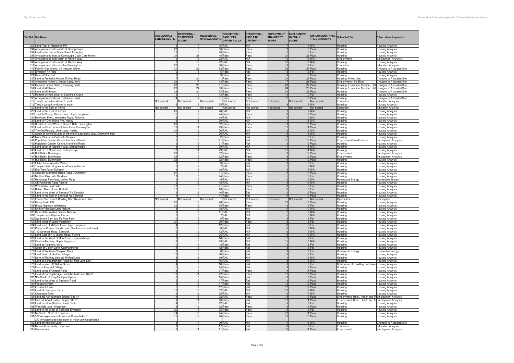| Site Ref Site Name                                                                                    | <b>RESIDENTIAL:</b><br><b>SERVICE SCORE</b> | <b>RESIDENTIAL:</b><br><b>TRANSPORT</b><br><b>SCORE</b> | <b>RESIDENTIAL:</b><br><b>OVERALL SCORE</b> | <b>RESIDENTIAL:</b><br><b>PASS / FAIL</b><br>CRITERIA 1, 2,3 | <b>RESIDENTIAL:</b><br><b>PASS FAIL</b><br><b>CRITERIA 4</b> | <b>EMPLOYMENT</b><br><b>TRANSPORT</b><br><b>SCORE</b> | <b>EMPLOYMENT</b><br>OVERALL<br><b>SCORE</b> | <b>EMPLOYMENT: PASS</b><br>/ FAIL CRITERIA 4 | <b>Submitted For:</b>                                      | Other relevant appendix                            |
|-------------------------------------------------------------------------------------------------------|---------------------------------------------|---------------------------------------------------------|---------------------------------------------|--------------------------------------------------------------|--------------------------------------------------------------|-------------------------------------------------------|----------------------------------------------|----------------------------------------------|------------------------------------------------------------|----------------------------------------------------|
| 263 Land Rear of Hopgrove PH                                                                          |                                             |                                                         |                                             | 16 FAIL                                                      | N/A                                                          |                                                       |                                              | 7 N/A                                        | lousing                                                    | <b>Housing Analysis</b>                            |
| 294 Amalgamated sites north of Bishopthorpe                                                           | 21                                          |                                                         |                                             | 30 Pass                                                      | Pass                                                         |                                                       |                                              | 9 Pass                                       | lousing                                                    | <b>Housing Analysis</b>                            |
| 297 Land to the rear of Main Street, Elvington                                                        | 18                                          |                                                         | 5                                           | 23 Pass                                                      | Pass                                                         |                                                       |                                              | 5 Fail                                       | lousing                                                    | <b>Housing Analysis</b>                            |
| 298 Amalgamated sites at Connaught Court Care Home                                                    | 24                                          | 21                                                      |                                             | 45 Pass                                                      | Pass                                                         | 21                                                    |                                              | 23 Pass                                      | <b>lousing</b>                                             | <b>Housing Analysis</b>                            |
| 304 Amalgamated sites north of Murton Way                                                             | Б.                                          | 16                                                      |                                             | 22 FAIL                                                      | N/A                                                          | 16                                                    |                                              | $18$ N/A                                     | mploymer                                                   | <b>Employment Analysis</b>                         |
| 304 Amalgamated sites north of Murton Way                                                             | 6                                           | 16                                                      |                                             | 22 FAIL                                                      | N/A                                                          | 16                                                    |                                              | 18 N/A                                       | ousing                                                     | <b>Housing Analysis</b>                            |
| 311 Amalgamated sites south of Heslington                                                             | 22                                          |                                                         |                                             | 30 Pass                                                      | Pass                                                         |                                                       |                                              | 12 Fail                                      | ducation                                                   | <b>Education Analysis</b>                          |
| 472 Former Gas Works, 24 Heworth Green                                                                | 31                                          | 23                                                      |                                             | 52 Pass                                                      | Pass                                                         | 23                                                    |                                              | 27 Pass                                      | lousing                                                    | Changes to Allocated Site                          |
| 607 Elvington Air Field                                                                               | $\overline{0}$                              |                                                         | 5                                           | 5 Pass                                                       | Fail                                                         |                                                       |                                              | 5 Fail                                       | <b>lousing</b>                                             | <b>Housing Analysis</b>                            |
| 621 Rear of Bluecoat                                                                                  | $\circ$                                     |                                                         | 9                                           | 9 Pass                                                       | Fail                                                         |                                                       |                                              | 9 Pass                                       | lousing                                                    | <b>Housing Analysis</b>                            |
| 627 Land at Frederick House, Fulford Road                                                             | 17                                          | 24                                                      |                                             | 41 Pass                                                      | Pass                                                         | 24                                                    |                                              | 25 Pass                                      | lousing, Mixed Use                                         | Changes to Allocated Site                          |
| 639 Annamine Nursery, Jockey Lane, York                                                               | 26                                          | 17                                                      |                                             | 43 Pass                                                      | Pass                                                         | 17                                                    |                                              | 21 Pass                                      | mployment (Inc B1a)                                        | <b>Changes to Allocated Site</b>                   |
| 651 Heworth Green North (remaining land)                                                              | 28                                          | 23                                                      |                                             | 51 Pass                                                      | Pass                                                         | 23                                                    |                                              | 27 Pass                                      | Housing, Education, Medical, Hot Changes to Allocated Site |                                                    |
| 654 Land at Mill Mount                                                                                | 29                                          | 24                                                      |                                             | 53 Pass                                                      | Pass                                                         | 24                                                    |                                              | 26 Pass                                      | Housing, Education, Medical, Hot Changes to Allocated Site |                                                    |
| 654 Land at Mill Mount                                                                                | 29                                          | 24                                                      |                                             | 53 Pass                                                      | Pass                                                         | 24                                                    |                                              | 26 Pass                                      | lousing                                                    | Changes to Allocated Site                          |
| 676 Rufforth Airfield south of Southfield Close                                                       | 13                                          | $\Omega$                                                |                                             | 13 Pass                                                      | Pass                                                         | $\Omega$                                              |                                              | 0 Fail                                       | lousing                                                    | <b>Housing Analysis</b>                            |
| 696 Amalgamated sites of Tadcaster Road                                                               | 14                                          | 17                                                      |                                             | 31 Pass                                                      | Pass                                                         | 17                                                    |                                              | 18 Pass                                      | lousing                                                    | <b>Changes to Allocated Site</b>                   |
| 719 Terry's carpark and land to south                                                                 | Not scored                                  | Not scored                                              | Not scored                                  | Not scored                                                   | Not scored                                                   | Not scored                                            | Not scored                                   | Not scored                                   | ducation                                                   | <b>Education Analysis</b>                          |
| 719 Terry's carpark and land to south                                                                 | 16                                          |                                                         |                                             | 25 FAIL                                                      | N/A                                                          |                                                       |                                              | $9$ N/A                                      | lousing                                                    | <b>Housing Analysis</b>                            |
| 720 Land to the East of Terrys                                                                        | Not scored                                  | Not scored                                              | Not scored                                  | Not scored                                                   | Not scored                                                   | Not scored                                            | Not scored                                   | Not scored                                   | Education                                                  | <b>Education Analysis</b>                          |
| 720 Land to the East of Terry's                                                                       | 21                                          |                                                         |                                             | 28 FAIL                                                      | N/A                                                          |                                                       |                                              | 7 N/A                                        | lousing                                                    | <b>Housing Analysis</b>                            |
| 733 The Old Vinery, Cinder Lane, Upper Poppleton                                                      | 15                                          |                                                         |                                             | 24 Pass                                                      | Pass                                                         |                                                       |                                              | 13 Pass                                      | lousing                                                    | <b>Housing Analysis</b>                            |
| 734 Hawthorn Farm, Wetherby Road, Rufforth                                                            | 18                                          | $\Omega$                                                |                                             | 18 FAIL                                                      | N/A                                                          | $\Omega$                                              |                                              | 0 N/A                                        | lousing                                                    | <b>Housing Analysis</b>                            |
| 736 Land to RO of Hilbra Ave, Haxby                                                                   | 19                                          | 11                                                      |                                             | 30 FAIL                                                      | N/A                                                          | 11                                                    |                                              | 11 N/A                                       | lousing                                                    | <b>Housing Analysis</b>                            |
| 737 Stock Hill Field, West of Church Balk, Dunnington                                                 | 23                                          | 9                                                       |                                             | 32 Pass                                                      | Pass                                                         |                                                       |                                              | 13 Pass                                      | lousing                                                    | <b>Housing Analysis</b>                            |
| 738 Land on South side of Intake Lane, Dunnington                                                     | 18                                          | 11                                                      |                                             | 29 Pass                                                      | Pass                                                         | 11                                                    |                                              | 11 Pass                                      | lousing                                                    | <b>Housing Analysis</b>                            |
| 739 The Old Rectory, Moor Lane, Haxby                                                                 | 24                                          | 12                                                      |                                             | 36 FAIL                                                      | N/A                                                          | 12                                                    |                                              | 16 N/A                                       | Housing                                                    | <b>Housing Analysis</b>                            |
| 740 South of Yorkfield Lane at the end of Learmans Way, Copmanthorpe                                  | 11                                          |                                                         |                                             | 20 FAIL                                                      | N/A                                                          |                                                       |                                              | 11 N/A                                       | ousing                                                     | <b>Housing Analysis</b>                            |
| 741 Moor Villa Farm Paddock, Hessay                                                                   | $\overline{2}$                              |                                                         | $\overline{0}$                              | 2 Pass                                                       | Fail                                                         |                                                       |                                              | 0 Fail                                       | lousing                                                    | <b>Housing Analysis</b>                            |
| 742 Poppleton Garden Centre, Northfield Road                                                          | -6                                          | 15                                                      |                                             | 21 Pass                                                      | Fail                                                         | 15                                                    |                                              | 15 Pass                                      | Employment/Retail/Leisure                                  | <b>Employment Analysis</b>                         |
| 742 Poppleton Garden Centre, Northfield Road                                                          | 6                                           | 15                                                      |                                             | 21 Pass                                                      | Fail                                                         | 15                                                    |                                              | 15 Pass                                      | Housing                                                    | <b>Housing Analysis</b>                            |
| 743 Land south of Appleton Way, Bishopthorpe                                                          | 18                                          | 11                                                      |                                             | 29 FAIL                                                      | N/A                                                          | 11                                                    |                                              | 11 N/A                                       | lousing                                                    | <b>Housing Analysis</b>                            |
| 743 Land SE of Moor Lane, Bishopthorpe                                                                | 18                                          | 11                                                      |                                             | 29 FAIL                                                      | N/A                                                          | 11                                                    |                                              | 11 N/A                                       | lousing                                                    | <b>Housing Analysis</b>                            |
| 744 Bull Balks, Dunnington                                                                            | 23                                          | 9                                                       |                                             | 32 Pass                                                      | Pass                                                         |                                                       |                                              | 13 Pass                                      | :mploymen                                                  | <b>Employment Analysis</b>                         |
| 744 Bull Balks, Dunnington                                                                            | 23                                          |                                                         | 9                                           | 32 Pass                                                      | Pass                                                         |                                                       |                                              | 13 Pass                                      | <b>Employment</b>                                          | <b>Employment Analysis</b>                         |
| 744 Bull Balks, Dunnington                                                                            | 23                                          |                                                         | 9                                           | 32 Pass                                                      | Pass                                                         |                                                       |                                              | 13 Pass                                      | lousing                                                    | <b>Housing Analysis</b>                            |
| 745 Intake Lane, Acaster Malbis                                                                       | $\overline{0}$                              |                                                         | 3                                           | 3 Pass                                                       | Fail                                                         |                                                       |                                              | 3 Fail                                       | lousing                                                    | <b>Housing Analysis</b>                            |
| 746 Temple Garth Hughes land Copmanthorpe                                                             |                                             |                                                         |                                             | 7 FAIL                                                       | N/A                                                          |                                                       |                                              | 3 N/A                                        | Housina                                                    | <b>Housing Analysis</b>                            |
| 747 Elm Tree Farm Elvington                                                                           | 13                                          |                                                         | 5                                           | 18 FAIL                                                      | N/A                                                          |                                                       |                                              | 5 N/A                                        | lousing                                                    | <b>Housing Analysis</b>                            |
| 748 Adjacent Stamford Bridge Road Dunnington                                                          | 22                                          |                                                         | 9                                           | 31 Pass                                                      | Pass                                                         |                                                       |                                              | 13 Pass                                      | lousing                                                    | <b>Housing Analysis</b>                            |
| 749 North of Riverside Gardens                                                                        | 19<br>$\overline{4}$                        |                                                         | 5                                           | 24 Pass                                                      | Pass<br>N/A                                                  |                                                       |                                              | 5 Fail<br>$5$ N/A                            | lousing                                                    | <b>Housing Analysis</b>                            |
| 750 Hermitage Farmland, Malton Road                                                                   | $\overline{c}$                              | 13                                                      |                                             | 9 FAIL<br>15 FAIL                                            | N/A                                                          | 13                                                    |                                              | $13$ N/A                                     | Renewable Energy                                           | Renewable Energy                                   |
| 751 Off Fordlands Road Fulford<br>752 Wheldrake East Field                                            | 18                                          |                                                         | $\mathcal{R}$                               | 21 Pass                                                      | Pass                                                         |                                                       |                                              | 3 Fail                                       | lousing<br>lousing                                         | <b>Housing Analysis</b><br><b>Housing Analysis</b> |
| 753 Behind Manor Farm Rufforth                                                                        | 16                                          |                                                         | $\circ$                                     | 16 Pass                                                      | Pass                                                         |                                                       |                                              | 0 Fail                                       | lousing                                                    | <b>Housing Analysis</b>                            |
| 754 Land to the West of Strensall Rd Earswick                                                         |                                             | 12                                                      |                                             | 16 Pass                                                      | Fail                                                         |                                                       |                                              | 12 Pass                                      | lousing                                                    | <b>Housing Analysis</b>                            |
| 755 Land to the East of Strensall Rd Earswick                                                         |                                             | 10                                                      |                                             | 14 Pass                                                      | Fail                                                         | 10                                                    |                                              | 10 Pass                                      | lousing                                                    | <b>Housing Analysis</b>                            |
| 756 Former Burt Keech Bowling Club Sycamore Place                                                     | Not scored                                  | Not scored                                              | Not scored                                  | Not scored                                                   | Not scored                                                   | Not scored                                            | Not scored                                   | Not scored                                   | Openspace                                                  | Openspace                                          |
| 757 Haxby Hall EPH                                                                                    | 27                                          |                                                         |                                             | 40 Pass                                                      | Pass                                                         |                                                       |                                              | 18 Pass                                      | ousing                                                     | <b>Housing Analysis</b>                            |
| 758 Broad Highway Wheldrake                                                                           | 22                                          |                                                         | 3                                           | 25 Pass                                                      | Pass                                                         |                                                       |                                              | 3 Fail                                       | lousing                                                    | <b>Housing Analysis</b>                            |
| 759 Nirth of Vicarage Lane Naburn                                                                     |                                             | 10                                                      |                                             | 18 FAIL                                                      | N/A                                                          | 10                                                    |                                              | 10 N/A                                       | lousing                                                    | Housing Analysis                                   |
| 760 Rear of the Walled Garden Naburn                                                                  |                                             | $\overline{2}$                                          |                                             | 11 FAIL                                                      | N/A                                                          |                                                       |                                              | 2 N/A                                        | lousing                                                    | <b>Housing Analysis</b>                            |
| 761 Temple Lane Copmanthorpe                                                                          |                                             |                                                         | 5                                           | 7 FAIL                                                       | N/A                                                          |                                                       |                                              | 5 N/A<br>5 Fail                              | lousing                                                    | <b>Housing Analysis</b>                            |
| 762 Sycamore Barn and Fir Tree Farm                                                                   | $\circ$                                     |                                                         | 5                                           | 5 Pass                                                       | Fail                                                         |                                                       |                                              |                                              | lousing                                                    | <b>Housing Analysis</b>                            |
| 763 Land West of Upper Poppleton                                                                      | 21                                          |                                                         | 8                                           | 29 Pass                                                      | Pass                                                         |                                                       |                                              | 8 Fail                                       | lousing                                                    | <b>Housing Analysis</b>                            |
| 764 Land west of Millfield Lane Upper Poppleton                                                       | $\overline{4}$                              | 8                                                       |                                             | 12 Pass                                                      | Fail                                                         |                                                       |                                              | 8 Fail                                       | lousing                                                    | <b>Housing Analysis</b>                            |
| 765 Placepot Corner, Sandy Lane, Stockton-on-the-Forest                                               | $\Omega$                                    | $\mathbf{R}$                                            |                                             | 8 FAIL                                                       | N/A                                                          |                                                       |                                              | 8 N/A                                        | lousing                                                    | <b>Housing Analysis</b>                            |
| 766 112 Strensall Road, Earswick                                                                      | 6                                           |                                                         | 6                                           | 12 FAIL                                                      | N/A                                                          |                                                       |                                              | $6$ N/A                                      | lousing                                                    | <b>Housing Analysis</b>                            |
| 767 Land East of A19 (Selby Road) Fulford                                                             | 6                                           | 19                                                      |                                             | 25 FAIL                                                      | N/A                                                          | 19                                                    |                                              | $19$ N/A                                     | lousing                                                    | <b>Housing Analysis</b>                            |
| 768 Land to the West of Moor Lane, Copmanthorpe                                                       | $_{9}$                                      |                                                         | $\overline{7}$                              | 16 Pass                                                      | Fail                                                         | $\overline{7}$                                        |                                              | 7 Fail                                       | lousing                                                    | <b>Housing Analysis</b>                            |
| 769 Oaktree Nursery, Upper Poppleton                                                                  | 8                                           | 15                                                      |                                             | 23 FAIL                                                      | N/A                                                          | 15                                                    |                                              | 15 N/A                                       | <b>lousing</b>                                             | <b>Housing Analysis</b>                            |
| 770 Land at Deighton, York                                                                            | $\Omega$                                    | $\mathbf{R}$                                            |                                             | 8 Pass                                                       | Fail                                                         |                                                       |                                              | 8 Fail                                       | lousing                                                    | <b>Housing Analysis</b>                            |
| 771 South of Colton Lane, Copmanthorpe                                                                | $\overline{4}$                              |                                                         | 8                                           | 12 Pass                                                      | Fail                                                         |                                                       |                                              | 8 Fail                                       | lousing                                                    | <b>Housing Analysis</b>                            |
| 772 Land at Wetherby/Knapton Moor<br>773 Land North of Skeltion Village                               | $\overline{0}$<br>12                        |                                                         | 6<br>8                                      | 6 Pass<br>20 Pass                                            | Fail<br>Fail                                                 |                                                       |                                              | 6 Fail<br>8 Fail                             | Renewable Energy<br>lousing                                | Renewable Energy<br><b>Housing Analysis</b>        |
|                                                                                                       |                                             | 11                                                      |                                             |                                                              |                                                              | 11                                                    |                                              |                                              |                                                            |                                                    |
| 774 North of Railway Line adj Millfield Lane<br>775 Land at Boroughbridge Road /Millfield Lane Site 1 | 18<br>8                                     |                                                         | 8                                           | 29 FAIL<br>16 FAIL                                           | N/A<br>N/A                                                   |                                                       |                                              | 13 N/A<br>$8$ N/A                            | Housing<br>ousing                                          | <b>Housing Analysis</b><br><b>Housing Analysis</b> |
| 776 Land located off Willow Grove                                                                     | $\overline{4}$                              |                                                         | 6                                           | 10 Pass                                                      | Fail                                                         |                                                       |                                              | 6 Fail                                       | Notification of Unwilling Landown Housing Analysis         |                                                    |
| 777 East of Earswick Village                                                                          |                                             | 9                                                       |                                             | 14 Pass                                                      | Fail                                                         |                                                       |                                              | 9 Pass                                       | lousing                                                    | <b>Housing Analysis</b>                            |
| 778 Land West of Chapel Fields                                                                        | $\frac{5}{18}$                              | 9                                                       |                                             | 27 Pass                                                      | Pass                                                         |                                                       |                                              | 11 Pass                                      | lousing                                                    | <b>Housing Analysis</b>                            |
| 779 Land at Boroughbridge Road /Millfield Lane Site 2                                                 | 11                                          | 11                                                      |                                             | 22 Pass                                                      | Pass                                                         | 11                                                    |                                              | 13 Pass                                      | lousing                                                    | <b>Housing Analysis</b>                            |
| 780 Site South of Knapton Open Space                                                                  | 6                                           |                                                         |                                             | 15 Pass                                                      | Fail                                                         |                                                       |                                              | 9 Pass                                       | lousing                                                    | <b>Housing Analysis</b>                            |
| 781 Land to the West of Strensall Road                                                                |                                             | 12                                                      |                                             | 17 Pass                                                      | Fail                                                         | 12                                                    |                                              | 12 Pass                                      | lousing                                                    | <b>Housing Analysis</b>                            |
| 781 Fossbank Farm                                                                                     | 5                                           | 12                                                      |                                             | 17 Pass                                                      | Fail                                                         | 12                                                    |                                              | 12 Pass                                      | lousing                                                    | <b>Housing Analysis</b>                            |
| 782 Fossbank Farm                                                                                     | $\overline{5}$                              | 12                                                      |                                             | 17 Pass                                                      | Fail                                                         | 12                                                    |                                              | 12 Pass                                      | lousing                                                    | <b>Housing Analysis</b>                            |
| 783 Land at Crompton Farm                                                                             | 16                                          | 16                                                      |                                             | 32 FAIL                                                      | N/A                                                          | 16                                                    |                                              | $17$ N/A                                     | lousing                                                    | <b>Housing Analysis</b>                            |
| 784 Crompton Farm                                                                                     |                                             | 16                                                      |                                             | 25 FAIL                                                      | N/A                                                          | 16                                                    |                                              | $17$ N/A                                     | Housina                                                    | <b>Housing Analysis</b>                            |
| 785 Land adj A64 (London Bridge) Site 1A                                                              | 14                                          | 18                                                      |                                             | 32 FAIL                                                      | Pass                                                         | 18                                                    |                                              | 19 Pass                                      | mployment, Hotel, Health and Fi Employment Analysis        |                                                    |
| 786 land adj A64 (London Bridge) Site 1B                                                              | 9                                           | 11                                                      |                                             | 20 Pass                                                      | Fail                                                         | 11                                                    |                                              | 11 Pass                                      | mployment, Hotel, Health and Fi Employment Analysis        |                                                    |
| 787 Land South of Stockton Lane, York                                                                 | $\overline{4}$                              |                                                         |                                             | 12 FAIL                                                      | Fail                                                         | $\mathbf{R}$                                          |                                              | 8 Fail                                       | lousing                                                    | <b>Housing Analysis</b>                            |
| 788 Westfield Lane, Wigginton                                                                         | 19                                          | 13                                                      |                                             | 32 Pass                                                      | Pass                                                         | 13                                                    |                                              | 13 Pass                                      | Housing                                                    | <b>Housing Analysis</b>                            |
| 789 Land to the West of Beckside Elvington                                                            | 20                                          |                                                         |                                             | 25 Pass                                                      | Pass                                                         |                                                       |                                              | 5 Fail                                       | tousina                                                    | <b>Housing Analysis</b>                            |
| 790 Northfield, North of Knapton                                                                      | 14                                          | 10 <sup>1</sup>                                         |                                             | 24 Pass                                                      | Pass                                                         | 10                                                    |                                              | 11 Pass                                      | lousing                                                    | <b>Housing Analysis</b>                            |
| 791 302 Amalgamated site west of Chapelfields 1                                                       | 15                                          | 13                                                      |                                             | 28 Pass                                                      | Pass                                                         | 13                                                    |                                              | 15 Pass                                      | Housing                                                    | <b>Housing Analysis</b>                            |
| 217 Amalgamated sites north of moor lane woodthorpe                                                   |                                             |                                                         |                                             |                                                              |                                                              |                                                       |                                              |                                              |                                                            |                                                    |
| 792 Land off Askham Lane                                                                              | 15                                          | 14                                                      |                                             | 29 FAIL                                                      | N/A                                                          | 14                                                    |                                              | 16 N/A                                       | Housina                                                    | Changes to Allocated Site                          |
| 794 Revised University Expansion                                                                      |                                             | 8                                                       |                                             | 17 Pass                                                      | Fail                                                         | $\mathcal{R}$                                         |                                              | 8 Fail                                       | Education                                                  | <b>Education Analysis</b>                          |
| 795 Greenacres                                                                                        |                                             | 11                                                      |                                             | 11 Pass                                                      | Fai                                                          | 11                                                    |                                              | 11 Pass                                      | mployment                                                  | <b>Employment Analysis</b>                         |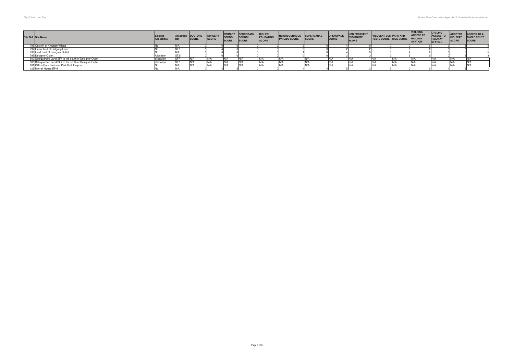| Site Ref Site Name                                       | Existin<br>Allocation <sup>®</sup> | Alloca | <b>DOCTORS</b><br><b>SCORE</b> | NURSERY<br>SCORE | <b>PRIMARY</b><br>SCHOOL<br>SCORE | <b>SECONDARY</b><br><b>SCHOOL</b><br>SCORE | <b>HIGHER</b><br>EDUCATION<br>SCORE | <b>NEIGHBOURHOOD</b><br><b>PARADE SCORE</b> | <b>SUPERMARKET</b><br><b>SCORE</b> | <b>OPENSPACE</b><br><b>SCORE</b> | <b>NON FREQUENT</b><br><b>BUS ROUTF</b><br><b>SCORE</b> | <b>FREQUENT BUS PARK AND</b><br>ROUTE SCORE RIDE SCORE | <b>WALKING</b><br><b>ACCESS TO</b><br><b>RAILWAY</b><br><b>STATION</b> | CYCLING<br>ACCESS TO<br>RAILWAY<br><b>STATION</b> | <b>ADOPTED</b><br><b>HIGHWAY</b> | <b>ACCESS TO A</b><br><b>CYCLE ROUTE</b><br>SCORE |
|----------------------------------------------------------|------------------------------------|--------|--------------------------------|------------------|-----------------------------------|--------------------------------------------|-------------------------------------|---------------------------------------------|------------------------------------|----------------------------------|---------------------------------------------------------|--------------------------------------------------------|------------------------------------------------------------------------|---------------------------------------------------|----------------------------------|---------------------------------------------------|
| 796 Outskirt of Knapton Village                          |                                    |        |                                |                  |                                   |                                            |                                     |                                             |                                    |                                  |                                                         |                                                        |                                                                        |                                                   |                                  |                                                   |
| 797 Linear field of Outgang Lane                         |                                    |        |                                |                  |                                   |                                            |                                     |                                             |                                    |                                  |                                                         |                                                        |                                                                        |                                                   |                                  |                                                   |
| 798 Land East of Designer Outlet                         |                                    |        |                                |                  |                                   |                                            |                                     |                                             |                                    |                                  |                                                         |                                                        |                                                                        |                                                   |                                  |                                                   |
| 799 Designer Outlet                                      | Allocation                         | ST21   |                                |                  |                                   |                                            |                                     |                                             |                                    |                                  |                                                         |                                                        |                                                                        |                                                   |                                  |                                                   |
| 800 Safeguarded Land SF7 to the south of Designer Outlet | allocation                         |        |                                |                  |                                   |                                            |                                     |                                             |                                    |                                  |                                                         |                                                        |                                                                        |                                                   |                                  |                                                   |
| 800 Safeguarded Land SF7 to the south of Designer Outlet | allocation                         | SE7    |                                |                  |                                   |                                            |                                     |                                             |                                    |                                  |                                                         |                                                        |                                                                        |                                                   |                                  |                                                   |
| 801 Clifton Gate Business Park Built footprint           |                                    |        |                                |                  |                                   |                                            |                                     |                                             |                                    |                                  |                                                         |                                                        |                                                                        |                                                   |                                  |                                                   |
| 125 Morrell House EPH                                    |                                    |        |                                |                  |                                   |                                            |                                     |                                             |                                    |                                  |                                                         |                                                        |                                                                        |                                                   |                                  |                                                   |